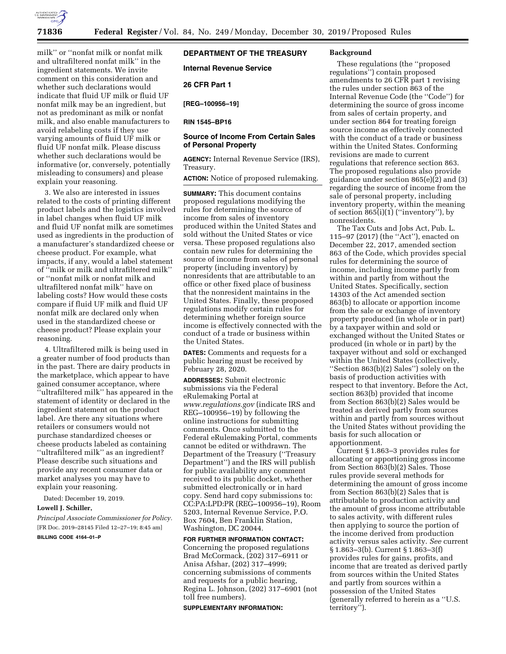

milk'' or ''nonfat milk or nonfat milk and ultrafiltered nonfat milk'' in the ingredient statements. We invite comment on this consideration and whether such declarations would indicate that fluid UF milk or fluid UF nonfat milk may be an ingredient, but not as predominant as milk or nonfat milk, and also enable manufacturers to avoid relabeling costs if they use varying amounts of fluid UF milk or fluid UF nonfat milk. Please discuss whether such declarations would be informative (or, conversely, potentially misleading to consumers) and please explain your reasoning.

3. We also are interested in issues related to the costs of printing different product labels and the logistics involved in label changes when fluid UF milk and fluid UF nonfat milk are sometimes used as ingredients in the production of a manufacturer's standardized cheese or cheese product. For example, what impacts, if any, would a label statement of ''milk or milk and ultrafiltered milk'' or ''nonfat milk or nonfat milk and ultrafiltered nonfat milk'' have on labeling costs? How would these costs compare if fluid UF milk and fluid UF nonfat milk are declared only when used in the standardized cheese or cheese product? Please explain your reasoning.

4. Ultrafiltered milk is being used in a greater number of food products than in the past. There are dairy products in the marketplace, which appear to have gained consumer acceptance, where ''ultrafiltered milk'' has appeared in the statement of identity or declared in the ingredient statement on the product label. Are there any situations where retailers or consumers would not purchase standardized cheeses or cheese products labeled as containing ''ultrafiltered milk'' as an ingredient? Please describe such situations and provide any recent consumer data or market analyses you may have to explain your reasoning.

Dated: December 19, 2019. **Lowell J. Schiller,** 

*Principal Associate Commissioner for Policy.*  [FR Doc. 2019–28145 Filed 12–27–19; 8:45 am] **BILLING CODE 4164–01–P** 

# **DEPARTMENT OF THE TREASURY**

**Internal Revenue Service** 

### **26 CFR Part 1**

**[REG–100956–19]** 

**RIN 1545–BP16** 

### **Source of Income From Certain Sales of Personal Property**

**AGENCY:** Internal Revenue Service (IRS), Treasury.

**ACTION:** Notice of proposed rulemaking.

**SUMMARY:** This document contains proposed regulations modifying the rules for determining the source of income from sales of inventory produced within the United States and sold without the United States or vice versa. These proposed regulations also contain new rules for determining the source of income from sales of personal property (including inventory) by nonresidents that are attributable to an office or other fixed place of business that the nonresident maintains in the United States. Finally, these proposed regulations modify certain rules for determining whether foreign source income is effectively connected with the conduct of a trade or business within the United States.

**DATES:** Comments and requests for a public hearing must be received by February 28, 2020.

**ADDRESSES:** Submit electronic submissions via the Federal eRulemaking Portal at *[www.regulations.gov](http://www.regulations.gov)* (indicate IRS and REG–100956–19) by following the online instructions for submitting comments. Once submitted to the Federal eRulemaking Portal, comments cannot be edited or withdrawn. The Department of the Treasury (''Treasury Department'') and the IRS will publish for public availability any comment received to its public docket, whether submitted electronically or in hard copy. Send hard copy submissions to: CC:PA:LPD:PR (REG–100956–19), Room 5203, Internal Revenue Service, P.O. Box 7604, Ben Franklin Station, Washington, DC 20044.

**FOR FURTHER INFORMATION CONTACT:**  Concerning the proposed regulations Brad McCormack, (202) 317–6911 or Anisa Afshar, (202) 317–4999; concerning submissions of comments and requests for a public hearing, Regina L. Johnson, (202) 317–6901 (not toll free numbers).

#### **SUPPLEMENTARY INFORMATION:**

#### **Background**

These regulations (the ''proposed regulations'') contain proposed amendments to 26 CFR part 1 revising the rules under section 863 of the Internal Revenue Code (the ''Code'') for determining the source of gross income from sales of certain property, and under section 864 for treating foreign source income as effectively connected with the conduct of a trade or business within the United States. Conforming revisions are made to current regulations that reference section 863. The proposed regulations also provide guidance under section 865(e)(2) and (3) regarding the source of income from the sale of personal property, including inventory property, within the meaning of section 865(i)(1) (''inventory''), by nonresidents.

The Tax Cuts and Jobs Act, Pub. L. 115–97 (2017) (the ''Act''), enacted on December 22, 2017, amended section 863 of the Code, which provides special rules for determining the source of income, including income partly from within and partly from without the United States. Specifically, section 14303 of the Act amended section 863(b) to allocate or apportion income from the sale or exchange of inventory property produced (in whole or in part) by a taxpayer within and sold or exchanged without the United States or produced (in whole or in part) by the taxpayer without and sold or exchanged within the United States (collectively, ''Section 863(b)(2) Sales'') solely on the basis of production activities with respect to that inventory. Before the Act, section 863(b) provided that income from Section 863(b)(2) Sales would be treated as derived partly from sources within and partly from sources without the United States without providing the basis for such allocation or apportionment.

Current § 1.863–3 provides rules for allocating or apportioning gross income from Section 863(b)(2) Sales. Those rules provide several methods for determining the amount of gross income from Section 863(b)(2) Sales that is attributable to production activity and the amount of gross income attributable to sales activity, with different rules then applying to source the portion of the income derived from production activity versus sales activity. *See* current § 1.863–3(b). Current § 1.863–3(f) provides rules for gains, profits, and income that are treated as derived partly from sources within the United States and partly from sources within a possession of the United States (generally referred to herein as a ''U.S. territory'').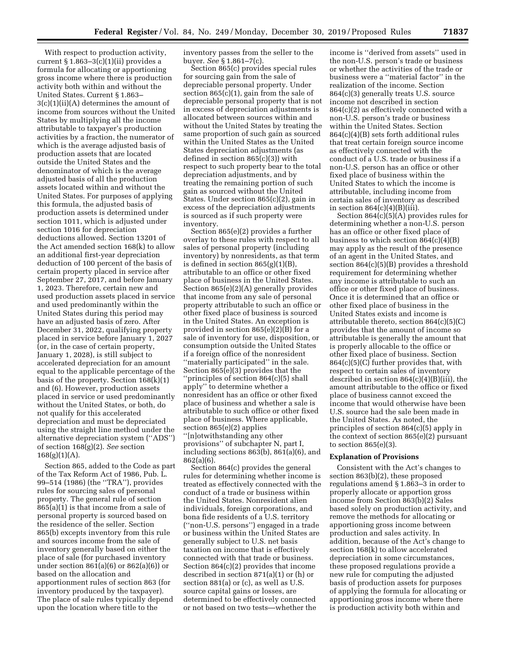With respect to production activity, current  $§ 1.863-3(c)(1)(ii)$  provides a formula for allocating or apportioning gross income where there is production activity both within and without the United States. Current § 1.863– 3(c)(1)(ii)(A) determines the amount of income from sources without the United States by multiplying all the income attributable to taxpayer's production activities by a fraction, the numerator of which is the average adjusted basis of production assets that are located outside the United States and the denominator of which is the average adjusted basis of all the production assets located within and without the United States. For purposes of applying this formula, the adjusted basis of production assets is determined under section 1011, which is adjusted under section 1016 for depreciation deductions allowed. Section 13201 of the Act amended section 168(k) to allow an additional first-year depreciation deduction of 100 percent of the basis of certain property placed in service after September 27, 2017, and before January 1, 2023. Therefore, certain new and used production assets placed in service and used predominantly within the United States during this period may have an adjusted basis of zero. After December 31, 2022, qualifying property placed in service before January 1, 2027 (or, in the case of certain property, January 1, 2028), is still subject to accelerated depreciation for an amount equal to the applicable percentage of the basis of the property. Section 168(k)(1) and (6). However, production assets placed in service or used predominantly without the United States, or both, do not qualify for this accelerated depreciation and must be depreciated using the straight line method under the alternative depreciation system (''ADS'') of section 168(g)(2). *See* section  $168(g)(1)(A)$ .

Section 865, added to the Code as part of the Tax Reform Act of 1986, Pub. L. 99–514 (1986) (the ''TRA''), provides rules for sourcing sales of personal property. The general rule of section 865(a)(1) is that income from a sale of personal property is sourced based on the residence of the seller. Section 865(b) excepts inventory from this rule and sources income from the sale of inventory generally based on either the place of sale (for purchased inventory under section 861(a)(6) or 862(a)(6)) or based on the allocation and apportionment rules of section 863 (for inventory produced by the taxpayer). The place of sale rules typically depend upon the location where title to the

inventory passes from the seller to the buyer. *See* § 1.861–7(c).

Section 865(c) provides special rules for sourcing gain from the sale of depreciable personal property. Under section 865(c)(1), gain from the sale of depreciable personal property that is not in excess of depreciation adjustments is allocated between sources within and without the United States by treating the same proportion of such gain as sourced within the United States as the United States depreciation adjustments (as defined in section 865(c)(3)) with respect to such property bear to the total depreciation adjustments, and by treating the remaining portion of such gain as sourced without the United States. Under section 865(c)(2), gain in excess of the depreciation adjustments is sourced as if such property were inventory.

Section 865(e)(2) provides a further overlay to these rules with respect to all sales of personal property (including inventory) by nonresidents, as that term is defined in section 865(g)(1)(B), attributable to an office or other fixed place of business in the United States. Section 865(e)(2)(A) generally provides that income from any sale of personal property attributable to such an office or other fixed place of business is sourced in the United States. An exception is provided in section  $865(e)(2)$  $(B)$  for a sale of inventory for use, disposition, or consumption outside the United States if a foreign office of the nonresident ''materially participated'' in the sale. Section 865(e)(3) provides that the ''principles of section 864(c)(5) shall apply'' to determine whether a nonresident has an office or other fixed place of business and whether a sale is attributable to such office or other fixed place of business. Where applicable, section 865(e)(2) applies ''[n]otwithstanding any other

provisions'' of subchapter N, part I, including sections 863(b), 861(a)(6), and 862(a)(6).

Section 864(c) provides the general rules for determining whether income is treated as effectively connected with the conduct of a trade or business within the United States. Nonresident alien individuals, foreign corporations, and bona fide residents of a U.S. territory (''non-U.S. persons'') engaged in a trade or business within the United States are generally subject to U.S. net basis taxation on income that is effectively connected with that trade or business. Section 864(c)(2) provides that income described in section 871(a)(1) or (h) or section 881(a) or (c), as well as U.S. source capital gains or losses, are determined to be effectively connected or not based on two tests—whether the

income is ''derived from assets'' used in the non-U.S. person's trade or business or whether the activities of the trade or business were a ''material factor'' in the realization of the income. Section 864(c)(3) generally treats U.S. source income not described in section 864(c)(2) as effectively connected with a non-U.S. person's trade or business within the United States. Section 864(c)(4)(B) sets forth additional rules that treat certain foreign source income as effectively connected with the conduct of a U.S. trade or business if a non-U.S. person has an office or other fixed place of business within the United States to which the income is attributable, including income from certain sales of inventory as described in section  $864(c)(4)(B)(iii)$ .

Section 864(c)(5)(A) provides rules for determining whether a non-U.S. person has an office or other fixed place of business to which section  $864(c)(4)(B)$ may apply as the result of the presence of an agent in the United States, and section 864(c)(5)(B) provides a threshold requirement for determining whether any income is attributable to such an office or other fixed place of business. Once it is determined that an office or other fixed place of business in the United States exists and income is attributable thereto, section 864(c)(5)(C) provides that the amount of income so attributable is generally the amount that is properly allocable to the office or other fixed place of business. Section 864(c)(5)(C) further provides that, with respect to certain sales of inventory described in section  $864(c)(4)(B)(iii)$ , the amount attributable to the office or fixed place of business cannot exceed the income that would otherwise have been U.S. source had the sale been made in the United States. As noted, the principles of section 864(c)(5) apply in the context of section 865(e)(2) pursuant to section  $865(e)(3)$ .

#### **Explanation of Provisions**

Consistent with the Act's changes to section 863(b)(2), these proposed regulations amend § 1.863–3 in order to properly allocate or apportion gross income from Section 863(b)(2) Sales based solely on production activity, and remove the methods for allocating or apportioning gross income between production and sales activity. In addition, because of the Act's change to section 168(k) to allow accelerated depreciation in some circumstances, these proposed regulations provide a new rule for computing the adjusted basis of production assets for purposes of applying the formula for allocating or apportioning gross income where there is production activity both within and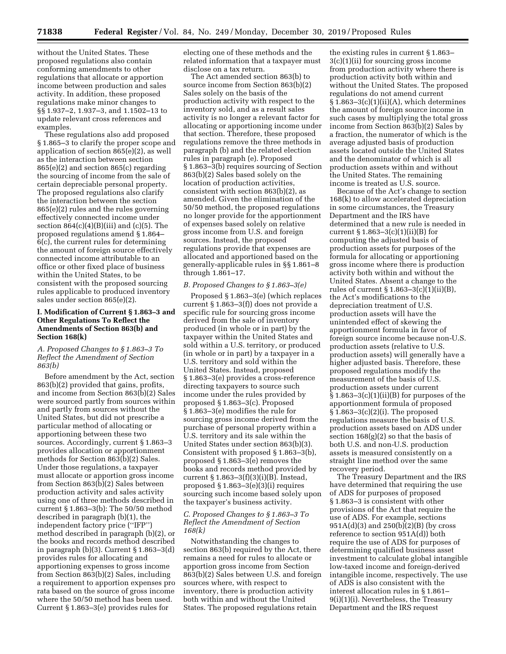without the United States. These proposed regulations also contain conforming amendments to other regulations that allocate or apportion income between production and sales activity. In addition, these proposed regulations make minor changes to §§ 1.937–2, 1.937–3, and 1.1502–13 to update relevant cross references and examples.

These regulations also add proposed § 1.865–3 to clarify the proper scope and application of section 865(e)(2), as well as the interaction between section 865(e)(2) and section 865(c) regarding the sourcing of income from the sale of certain depreciable personal property. The proposed regulations also clarify the interaction between the section 865(e)(2) rules and the rules governing effectively connected income under section  $864(c)(4)(B)(iii)$  and  $(c)(5)$ . The proposed regulations amend § 1.864– 6(c), the current rules for determining the amount of foreign source effectively connected income attributable to an office or other fixed place of business within the United States, to be consistent with the proposed sourcing rules applicable to produced inventory sales under section 865(e)(2).

# **I. Modification of Current § 1.863–3 and Other Regulations To Reflect the Amendments of Section 863(b) and Section 168(k)**

# *A. Proposed Changes to § 1.863–3 To Reflect the Amendment of Section 863(b)*

Before amendment by the Act, section 863(b)(2) provided that gains, profits, and income from Section 863(b)(2) Sales were sourced partly from sources within and partly from sources without the United States, but did not prescribe a particular method of allocating or apportioning between these two sources. Accordingly, current § 1.863–3 provides allocation or apportionment methods for Section 863(b)(2) Sales. Under those regulations, a taxpayer must allocate or apportion gross income from Section 863(b)(2) Sales between production activity and sales activity using one of three methods described in current § 1.863–3(b): The 50/50 method described in paragraph (b)(1), the independent factory price (''IFP'') method described in paragraph (b)(2), or the books and records method described in paragraph  $(b)(3)$ . Current § 1.863–3 $(d)$ provides rules for allocating and apportioning expenses to gross income from Section 863(b)(2) Sales, including a requirement to apportion expenses pro rata based on the source of gross income where the 50/50 method has been used. Current § 1.863–3(e) provides rules for

electing one of these methods and the related information that a taxpayer must disclose on a tax return.

The Act amended section 863(b) to source income from Section 863(b)(2) Sales solely on the basis of the production activity with respect to the inventory sold, and as a result sales activity is no longer a relevant factor for allocating or apportioning income under that section. Therefore, these proposed regulations remove the three methods in paragraph (b) and the related election rules in paragraph (e). Proposed § 1.863–3(b) requires sourcing of Section 863(b)(2) Sales based solely on the location of production activities, consistent with section 863(b)(2), as amended. Given the elimination of the 50/50 method, the proposed regulations no longer provide for the apportionment of expenses based solely on relative gross income from U.S. and foreign sources. Instead, the proposed regulations provide that expenses are allocated and apportioned based on the generally-applicable rules in §§ 1.861–8 through 1.861–17.

# *B. Proposed Changes to § 1.863–3(e)*

Proposed § 1.863–3(e) (which replaces current § 1.863–3(f)) does not provide a specific rule for sourcing gross income derived from the sale of inventory produced (in whole or in part) by the taxpayer within the United States and sold within a U.S. territory, or produced (in whole or in part) by a taxpayer in a U.S. territory and sold within the United States. Instead, proposed § 1.863–3(e) provides a cross-reference directing taxpayers to source such income under the rules provided by proposed § 1.863–3(c). Proposed § 1.863–3(e) modifies the rule for sourcing gross income derived from the purchase of personal property within a U.S. territory and its sale within the United States under section 863(b)(3). Consistent with proposed § 1.863–3(b), proposed § 1.863–3(e) removes the books and records method provided by current § 1.863–3(f)(3)(i)(B). Instead, proposed § 1.863–3(e)(3)(i) requires sourcing such income based solely upon the taxpayer's business activity.

## *C. Proposed Changes to § 1.863–3 To Reflect the Amendment of Section 168(k)*

Notwithstanding the changes to section 863(b) required by the Act, there remains a need for rules to allocate or apportion gross income from Section 863(b)(2) Sales between U.S. and foreign sources where, with respect to inventory, there is production activity both within and without the United States. The proposed regulations retain

the existing rules in current § 1.863– 3(c)(1)(ii) for sourcing gross income from production activity where there is production activity both within and without the United States. The proposed regulations do not amend current  $§ 1.863-3(c)(1)(ii)(A)$ , which determines the amount of foreign source income in such cases by multiplying the total gross income from Section 863(b)(2) Sales by a fraction, the numerator of which is the average adjusted basis of production assets located outside the United States and the denominator of which is all production assets within and without the United States. The remaining income is treated as U.S. source.

Because of the Act's change to section 168(k) to allow accelerated depreciation in some circumstances, the Treasury Department and the IRS have determined that a new rule is needed in current § 1.863–3(c)(1)(ii)(B) for computing the adjusted basis of production assets for purposes of the formula for allocating or apportioning gross income where there is production activity both within and without the United States. Absent a change to the rules of current § 1.863–3(c)(1)(ii)(B), the Act's modifications to the depreciation treatment of U.S. production assets will have the unintended effect of skewing the apportionment formula in favor of foreign source income because non-U.S. production assets (relative to U.S. production assets) will generally have a higher adjusted basis. Therefore, these proposed regulations modify the measurement of the basis of U.S. production assets under current  $§ 1.863-3(c)(1)(ii)(B)$  for purposes of the apportionment formula of proposed § 1.863–3(c)(2)(i). The proposed regulations measure the basis of U.S. production assets based on ADS under section 168(g)(2) so that the basis of both U.S. and non-U.S. production assets is measured consistently on a straight line method over the same recovery period.

The Treasury Department and the IRS have determined that requiring the use of ADS for purposes of proposed § 1.863–3 is consistent with other provisions of the Act that require the use of ADS. For example, sections 951A(d)(3) and 250(b)(2)(B) (by cross reference to section 951A(d)) both require the use of ADS for purposes of determining qualified business asset investment to calculate global intangible low-taxed income and foreign-derived intangible income, respectively. The use of ADS is also consistent with the interest allocation rules in § 1.861– 9(i)(1)(i). Nevertheless, the Treasury Department and the IRS request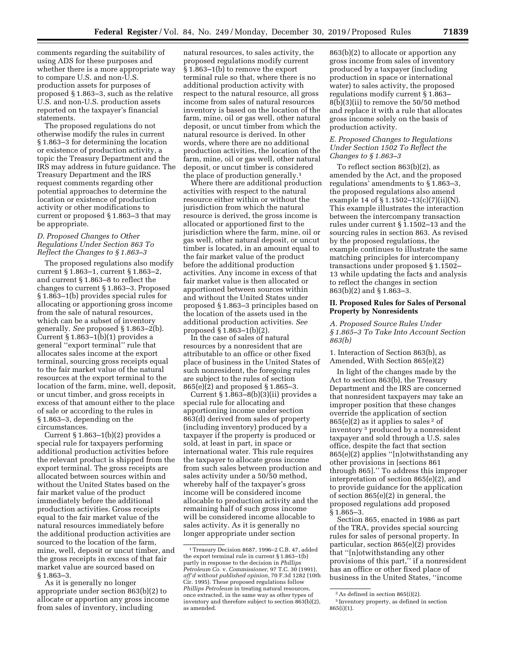comments regarding the suitability of using ADS for these purposes and whether there is a more appropriate way to compare U.S. and non-U.S. production assets for purposes of proposed § 1.863–3, such as the relative U.S. and non-U.S. production assets reported on the taxpayer's financial statements.

The proposed regulations do not otherwise modify the rules in current § 1.863–3 for determining the location or existence of production activity, a topic the Treasury Department and the IRS may address in future guidance. The Treasury Department and the IRS request comments regarding other potential approaches to determine the location or existence of production activity or other modifications to current or proposed § 1.863–3 that may be appropriate.

# *D. Proposed Changes to Other Regulations Under Section 863 To Reflect the Changes to § 1.863–3*

The proposed regulations also modify current § 1.863–1, current § 1.863–2, and current § 1.863–8 to reflect the changes to current § 1.863–3. Proposed § 1.863–1(b) provides special rules for allocating or apportioning gross income from the sale of natural resources, which can be a subset of inventory generally. *See* proposed § 1.863–2(b). Current § 1.863–1(b)(1) provides a general ''export terminal'' rule that allocates sales income at the export terminal, sourcing gross receipts equal to the fair market value of the natural resources at the export terminal to the location of the farm, mine, well, deposit, or uncut timber, and gross receipts in excess of that amount either to the place of sale or according to the rules in § 1.863–3, depending on the circumstances.

Current  $§ 1.863-1(b)(2)$  provides a special rule for taxpayers performing additional production activities before the relevant product is shipped from the export terminal. The gross receipts are allocated between sources within and without the United States based on the fair market value of the product immediately before the additional production activities. Gross receipts equal to the fair market value of the natural resources immediately before the additional production activities are sourced to the location of the farm, mine, well, deposit or uncut timber, and the gross receipts in excess of that fair market value are sourced based on § 1.863–3.

As it is generally no longer appropriate under section 863(b)(2) to allocate or apportion any gross income from sales of inventory, including

natural resources, to sales activity, the proposed regulations modify current § 1.863–1(b) to remove the export terminal rule so that, where there is no additional production activity with respect to the natural resource, all gross income from sales of natural resources inventory is based on the location of the farm, mine, oil or gas well, other natural deposit, or uncut timber from which the natural resource is derived. In other words, where there are no additional production activities, the location of the farm, mine, oil or gas well, other natural deposit, or uncut timber is considered the place of production generally.1

Where there are additional production activities with respect to the natural resource either within or without the jurisdiction from which the natural resource is derived, the gross income is allocated or apportioned first to the jurisdiction where the farm, mine, oil or gas well, other natural deposit, or uncut timber is located, in an amount equal to the fair market value of the product before the additional production activities. Any income in excess of that fair market value is then allocated or apportioned between sources within and without the United States under proposed § 1.863–3 principles based on the location of the assets used in the additional production activities. *See*  proposed § 1.863–1(b)(2).

In the case of sales of natural resources by a nonresident that are attributable to an office or other fixed place of business in the United States of such nonresident, the foregoing rules are subject to the rules of section 865(e)(2) and proposed § 1.865–3.

Current  $\S 1.863-8(b)(3)(ii)$  provides a special rule for allocating and apportioning income under section 863(d) derived from sales of property (including inventory) produced by a taxpayer if the property is produced or sold, at least in part, in space or international water. This rule requires the taxpayer to allocate gross income from such sales between production and sales activity under a 50/50 method, whereby half of the taxpayer's gross income will be considered income allocable to production activity and the remaining half of such gross income will be considered income allocable to sales activity. As it is generally no longer appropriate under section

863(b)(2) to allocate or apportion any gross income from sales of inventory produced by a taxpayer (including production in space or international water) to sales activity, the proposed regulations modify current § 1.863– 8(b)(3)(ii) to remove the 50/50 method and replace it with a rule that allocates gross income solely on the basis of production activity.

# *E. Proposed Changes to Regulations Under Section 1502 To Reflect the Changes to § 1.863–3*

To reflect section 863(b)(2), as amended by the Act, and the proposed regulations' amendments to § 1.863–3, the proposed regulations also amend example 14 of § 1.1502–13(c)(7)(ii)(N). This example illustrates the interaction between the intercompany transaction rules under current § 1.1502–13 and the sourcing rules in section 863. As revised by the proposed regulations, the example continues to illustrate the same matching principles for intercompany transactions under proposed § 1.1502– 13 while updating the facts and analysis to reflect the changes in section 863(b)(2) and § 1.863–3.

# **II. Proposed Rules for Sales of Personal Property by Nonresidents**

*A. Proposed Source Rules Under § 1.865–3 To Take Into Account Section 863(b)* 

1. Interaction of Section 863(b), as Amended, With Section 865(e)(2)

In light of the changes made by the Act to section 863(b), the Treasury Department and the IRS are concerned that nonresident taxpayers may take an improper position that these changes override the application of section  $865(e)(2)$  as it applies to sales <sup>2</sup> of inventory 3 produced by a nonresident taxpayer and sold through a U.S. sales office, despite the fact that section 865(e)(2) applies ''[n]otwithstanding any other provisions in [sections 861 through 865].'' To address this improper interpretation of section 865(e)(2), and to provide guidance for the application of section 865(e)(2) in general, the proposed regulations add proposed § 1.865–3.

Section 865, enacted in 1986 as part of the TRA, provides special sourcing rules for sales of personal property. In particular, section 865(e)(2) provides that ''[n]otwithstanding any other provisions of this part,'' if a nonresident has an office or other fixed place of business in the United States, ''income

<sup>1</sup>Treasury Decision 8687, 1996–2 C.B. 47, added the export terminal rule in current § 1.863–1(b) partly in response to the decision in *Phillips Petroleum Co.* v. *Commissioner,* 97 T.C. 30 (1991), *aff'd without published opinion,* 70 F.3d 1282 (10th Cir. 1995). These proposed regulations follow *Phillips Petroleum* in treating natural resources, once extracted, in the same way as other types of inventory and therefore subject to section 863(b)(2), as amended.

<sup>2</sup>As defined in section 865(i)(2).

<sup>3</sup> Inventory property, as defined in section 865(i)(1).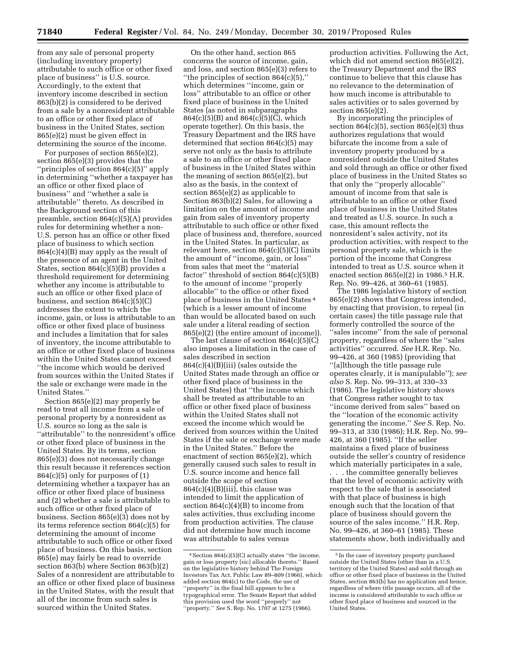from any sale of personal property (including inventory property) attributable to such office or other fixed place of business'' is U.S. source. Accordingly, to the extent that inventory income described in section 863(b)(2) is considered to be derived from a sale by a nonresident attributable to an office or other fixed place of business in the United States, section 865(e)(2) must be given effect in determining the source of the income.

For purposes of section 865(e)(2), section 865(e)(3) provides that the ''principles of section 864(c)(5)'' apply in determining ''whether a taxpayer has an office or other fixed place of business'' and ''whether a sale is attributable'' thereto. As described in the Background section of this preamble, section 864(c)(5)(A) provides rules for determining whether a non-U.S. person has an office or other fixed place of business to which section 864(c)(4)(B) may apply as the result of the presence of an agent in the United States, section 864(c)(5)(B) provides a threshold requirement for determining whether any income is attributable to such an office or other fixed place of business, and section 864(c)(5)(C) addresses the extent to which the income, gain, or loss is attributable to an office or other fixed place of business and includes a limitation that for sales of inventory, the income attributable to an office or other fixed place of business within the United States cannot exceed ''the income which would be derived from sources within the United States if the sale or exchange were made in the United States.''

Section 865(e)(2) may properly be read to treat all income from a sale of personal property by a nonresident as U.S. source so long as the sale is ''attributable'' to the nonresident's office or other fixed place of business in the United States. By its terms, section 865(e)(3) does not necessarily change this result because it references section 864(c)(5) only for purposes of (1) determining whether a taxpayer has an office or other fixed place of business and (2) whether a sale is attributable to such office or other fixed place of business. Section 865(e)(3) does not by its terms reference section 864(c)(5) for determining the amount of income attributable to such office or other fixed place of business. On this basis, section 865(e) may fairly be read to override section 863(b) where Section 863(b)(2) Sales of a nonresident are attributable to an office or other fixed place of business in the United States, with the result that all of the income from such sales is sourced within the United States.

On the other hand, section 865 concerns the source of income, gain, and loss, and section 865(e)(3) refers to ''the principles of section 864(c)(5),'' which determines ''income, gain or loss'' attributable to an office or other fixed place of business in the United States (as noted in subparagraphs 864(c)(5)(B) and 864(c)(5)(C), which operate together). On this basis, the Treasury Department and the IRS have determined that section 864(c)(5) may serve not only as the basis to attribute a sale to an office or other fixed place of business in the United States within the meaning of section 865(e)(2), but also as the basis, in the context of section 865(e)(2) as applicable to Section 863(b)(2) Sales, for allowing a limitation on the amount of income and gain from sales of inventory property attributable to such office or other fixed place of business and, therefore, sourced in the United States. In particular, as relevant here, section 864(c)(5)(C) limits the amount of ''income, gain, or loss'' from sales that meet the ''material factor'' threshold of section 864(c)(5)(B) to the amount of income ''properly allocable'' to the office or other fixed place of business in the United States 4 (which is a lesser amount of income than would be allocated based on such sale under a literal reading of section 865(e)(2) (the entire amount of income)).

The last clause of section 864(c)(5)(C) also imposes a limitation in the case of sales described in section 864(c)(4)(B)(iii) (sales outside the United States made through an office or other fixed place of business in the United States) that ''the income which shall be treated as attributable to an office or other fixed place of business within the United States shall not exceed the income which would be derived from sources within the United States if the sale or exchange were made in the United States.'' Before the enactment of section 865(e)(2), which generally caused such sales to result in U.S. source income and hence fall outside the scope of section  $864(c)(4)(B)(iii)$ , this clause was intended to limit the application of section  $864(c)(4)(B)$  to income from sales activities, thus excluding income from production activities. The clause did not determine how much income was attributable to sales versus

production activities. Following the Act, which did not amend section 865(e)(2), the Treasury Department and the IRS continue to believe that this clause has no relevance to the determination of how much income is attributable to sales activities or to sales governed by section 865(e)(2).

By incorporating the principles of section  $864(c)(5)$ , section  $865(e)(3)$  thus authorizes regulations that would bifurcate the income from a sale of inventory property produced by a nonresident outside the United States and sold through an office or other fixed place of business in the United States so that only the ''properly allocable'' amount of income from that sale is attributable to an office or other fixed place of business in the United States and treated as U.S. source. In such a case, this amount reflects the nonresident's sales activity, not its production activities, with respect to the personal property sale, which is the portion of the income that Congress intended to treat as U.S. source when it enacted section 865(e)(2) in 1986.5 H.R. Rep. No. 99–426, at 360–61 (1985).

The 1986 legislative history of section 865(e)(2) shows that Congress intended, by enacting that provision, to repeal (in certain cases) the title passage rule that formerly controlled the source of the ''sales income'' from the sale of personal property, regardless of where the ''sales activities'' occurred. *See* H.R. Rep. No. 99–426, at 360 (1985) (providing that ''[a]lthough the title passage rule operates clearly, it is manipulable''); *see also* S. Rep. No. 99–313, at 330–33 (1986). The legislative history shows that Congress rather sought to tax ''income derived from sales'' based on the ''location of the economic activity generating the income.'' *See* S. Rep. No. 99–313, at 330 (1986); H.R. Rep. No. 99– 426, at 360 (1985). ''If the seller maintains a fixed place of business outside the seller's country of residence which materially participates in a sale, . . . the committee generally believes that the level of economic activity with respect to the sale that is associated with that place of business is high enough such that the location of that place of business should govern the source of the sales income.'' H.R. Rep. No. 99–426, at 360–61 (1985). These statements show, both individually and

<sup>4</sup>Section 864(c)(5)(C) actually states ''the income, gain or loss property [sic] allocable thereto.'' Based on the legislative history behind The Foreign Investors Tax Act, Public Law 89–809 (1966), which added section 864(c) to the Code, the use of ''property'' in the final bill appears to be a typographical error. The Senate Report that added this provision used the word ''properly'' not ''property.'' *See* S. Rep. No. 1707 at 1275 (1966).

<sup>5</sup> In the case of inventory property purchased outside the United States (other than in a U.S. territory of the United States) and sold through an office or other fixed place of business in the United States, section 863(b) has no application and hence, regardless of where title passage occurs, all of the income is considered attributable to such office or other fixed place of business and sourced in the United States.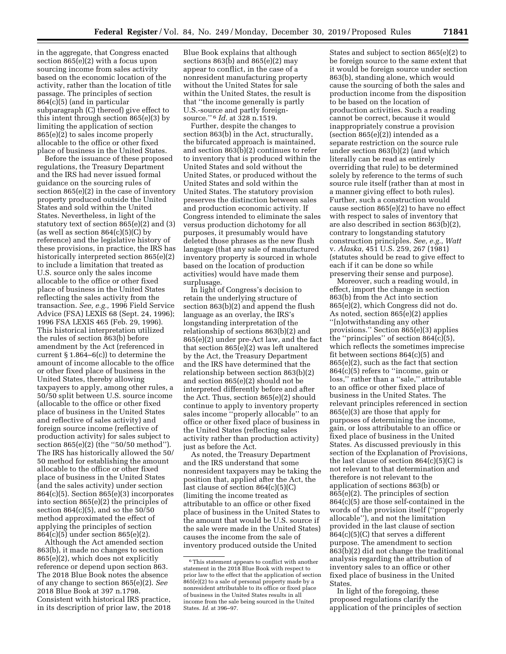in the aggregate, that Congress enacted section 865(e)(2) with a focus upon sourcing income from sales activity based on the economic location of the activity, rather than the location of title passage. The principles of section 864(c)(5) (and in particular subparagraph (C) thereof) give effect to this intent through section 865(e)(3) by limiting the application of section 865(e)(2) to sales income properly allocable to the office or other fixed place of business in the United States.

Before the issuance of these proposed regulations, the Treasury Department and the IRS had never issued formal guidance on the sourcing rules of section 865(e)(2) in the case of inventory property produced outside the United States and sold within the United States. Nevertheless, in light of the statutory text of section 865(e)(2) and (3) (as well as section  $864(c)(5)(C)$  by reference) and the legislative history of these provisions, in practice, the IRS has historically interpreted section 865(e)(2) to include a limitation that treated as U.S. source only the sales income allocable to the office or other fixed place of business in the United States reflecting the sales activity from the transaction. *See, e.g.,* 1996 Field Service Advice (FSA) LEXIS 68 (Sept. 24, 1996); 1996 FSA LEXIS 465 (Feb. 29, 1996). This historical interpretation utilized the rules of section 863(b) before amendment by the Act (referenced in current  $\S 1.864-6(c)$  to determine the amount of income allocable to the office or other fixed place of business in the United States, thereby allowing taxpayers to apply, among other rules, a 50/50 split between U.S. source income (allocable to the office or other fixed place of business in the United States and reflective of sales activity) and foreign source income (reflective of production activity) for sales subject to section 865(e)(2) (the "50/50 method"). The IRS has historically allowed the 50/ 50 method for establishing the amount allocable to the office or other fixed place of business in the United States (and the sales activity) under section 864(c)(5). Section 865(e)(3) incorporates into section 865(e)(2) the principles of section  $864(c)(5)$ , and so the  $50/50$ method approximated the effect of applying the principles of section 864(c)(5) under section 865(e)(2).

Although the Act amended section 863(b), it made no changes to section 865(e)(2), which does not explicitly reference or depend upon section 863. The 2018 Blue Book notes the absence of any change to section 865(e)(2). *See*  2018 Blue Book at 397 n.1798. Consistent with historical IRS practice, in its description of prior law, the 2018

Blue Book explains that although sections 863(b) and 865(e)(2) may appear to conflict, in the case of a nonresident manufacturing property without the United States for sale within the United States, the result is that ''the income generally is partly U.S.-source and partly foreignsource.'' 6 *Id.* at 328 n.1519.

Further, despite the changes to section 863(b) in the Act, structurally, the bifurcated approach is maintained, and section 863(b)(2) continues to refer to inventory that is produced within the United States and sold without the United States, or produced without the United States and sold within the United States. The statutory provision preserves the distinction between sales and production economic activity. If Congress intended to eliminate the sales versus production dichotomy for all purposes, it presumably would have deleted those phrases as the new flush language (that any sale of manufactured inventory property is sourced in whole based on the location of production activities) would have made them surplusage.

In light of Congress's decision to retain the underlying structure of section 863(b)(2) and append the flush language as an overlay, the IRS's longstanding interpretation of the relationship of sections 863(b)(2) and 865(e)(2) under pre-Act law, and the fact that section 865(e)(2) was left unaltered by the Act, the Treasury Department and the IRS have determined that the relationship between section 863(b)(2) and section 865(e)(2) should not be interpreted differently before and after the Act. Thus, section 865(e)(2) should continue to apply to inventory property sales income ''properly allocable'' to an office or other fixed place of business in the United States (reflecting sales activity rather than production activity) just as before the Act.

As noted, the Treasury Department and the IRS understand that some nonresident taxpayers may be taking the position that, applied after the Act, the last clause of section 864(c)(5)(C) (limiting the income treated as attributable to an office or other fixed place of business in the United States to the amount that would be U.S. source if the sale were made in the United States) causes the income from the sale of inventory produced outside the United

States and subject to section 865(e)(2) to be foreign source to the same extent that it would be foreign source under section 863(b), standing alone, which would cause the sourcing of both the sales and production income from the disposition to be based on the location of production activities. Such a reading cannot be correct, because it would inappropriately construe a provision (section 865(e)(2)) intended as a separate restriction on the source rule under section 863(b)(2) (and which literally can be read as entirely overriding that rule) to be determined solely by reference to the terms of such source rule itself (rather than at most in a manner giving effect to both rules). Further, such a construction would cause section 865(e)(2) to have no effect with respect to sales of inventory that are also described in section 863(b)(2), contrary to longstanding statutory construction principles. *See, e.g., Watt*  v. *Alaska,* 451 U.S. 259, 267 (1981) (statutes should be read to give effect to each if it can be done so while preserving their sense and purpose).

Moreover, such a reading would, in effect, import the change in section 863(b) from the Act into section 865(e)(2), which Congress did not do. As noted, section 865(e)(2) applies ''[n]otwithstanding any other provisions.'' Section 865(e)(3) applies the "principles" of section  $864(c)(5)$ , which reflects the sometimes imprecise fit between sections 864(c)(5) and 865(e)(2), such as the fact that section 864(c)(5) refers to ''income, gain or loss,'' rather than a ''sale,'' attributable to an office or other fixed place of business in the United States. The relevant principles referenced in section 865(e)(3) are those that apply for purposes of determining the income, gain, or loss attributable to an office or fixed place of business in the United States. As discussed previously in this section of the Explanation of Provisions, the last clause of section  $864(c)(5)(C)$  is not relevant to that determination and therefore is not relevant to the application of sections 863(b) or 865(e)(2). The principles of section 864(c)(5) are those self-contained in the words of the provision itself (''properly allocable''), and not the limitation provided in the last clause of section  $864(c)(5)(C)$  that serves a different purpose. The amendment to section 863(b)(2) did not change the traditional analysis regarding the attribution of inventory sales to an office or other fixed place of business in the United States.

In light of the foregoing, these proposed regulations clarify the application of the principles of section

<sup>&</sup>lt;sup>6</sup>This statement appears to conflict with another statement in the 2018 Blue Book with respect to prior law to the effect that the application of section 865(e)(2) to a sale of personal property made by a nonresident attributable to its office or fixed place of business in the United States results in all income from the sale being sourced in the United States. *Id.* at 396–97.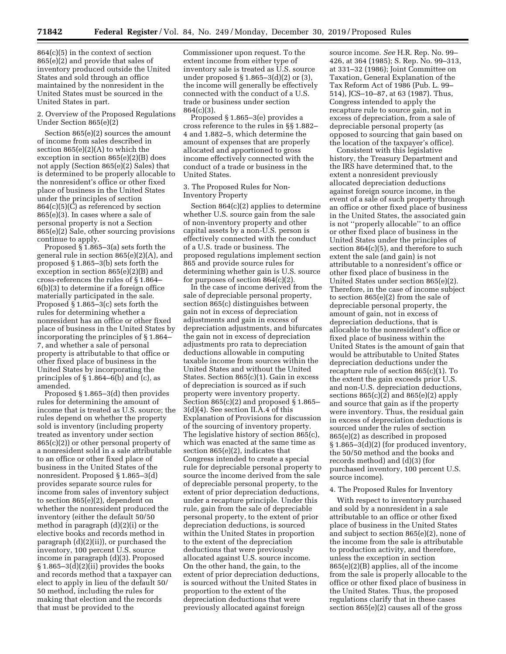864(c)(5) in the context of section 865(e)(2) and provide that sales of inventory produced outside the United States and sold through an office maintained by the nonresident in the United States must be sourced in the United States in part.

# 2. Overview of the Proposed Regulations Under Section 865(e)(2)

Section 865(e)(2) sources the amount of income from sales described in section 865(e)(2)(A) to which the exception in section 865(e)(2)(B) does not apply (Section 865(e)(2) Sales) that is determined to be properly allocable to the nonresident's office or other fixed place of business in the United States under the principles of section 864(c)(5)(C) as referenced by section 865(e)(3). In cases where a sale of personal property is not a Section 865(e)(2) Sale, other sourcing provisions continue to apply.

Proposed § 1.865–3(a) sets forth the general rule in section 865(e)(2)(A), and proposed § 1.865–3(b) sets forth the exception in section 865(e)(2)(B) and cross-references the rules of § 1.864– 6(b)(3) to determine if a foreign office materially participated in the sale. Proposed § 1.865–3(c) sets forth the rules for determining whether a nonresident has an office or other fixed place of business in the United States by incorporating the principles of § 1.864– 7, and whether a sale of personal property is attributable to that office or other fixed place of business in the United States by incorporating the principles of § 1.864–6(b) and (c), as amended.

Proposed § 1.865–3(d) then provides rules for determining the amount of income that is treated as U.S. source; the rules depend on whether the property sold is inventory (including property treated as inventory under section 865(c)(2)) or other personal property of a nonresident sold in a sale attributable to an office or other fixed place of business in the United States of the nonresident. Proposed § 1.865–3(d) provides separate source rules for income from sales of inventory subject to section 865(e)(2), dependent on whether the nonresident produced the inventory (either the default 50/50 method in paragraph (d)(2)(i) or the elective books and records method in paragraph (d)(2)(ii)), or purchased the inventory, 100 percent U.S. source income in paragraph (d)(3). Proposed § 1.865–3(d)(2)(ii) provides the books and records method that a taxpayer can elect to apply in lieu of the default 50/ 50 method, including the rules for making that election and the records that must be provided to the

Commissioner upon request. To the extent income from either type of inventory sale is treated as U.S. source under proposed § 1.865–3(d)(2) or (3), the income will generally be effectively connected with the conduct of a U.S. trade or business under section 864(c)(3).

Proposed § 1.865–3(e) provides a cross reference to the rules in §§ 1.882– 4 and 1.882–5, which determine the amount of expenses that are properly allocated and apportioned to gross income effectively connected with the conduct of a trade or business in the United States.

### 3. The Proposed Rules for Non-Inventory Property

Section 864(c)(2) applies to determine whether U.S. source gain from the sale of non-inventory property and other capital assets by a non-U.S. person is effectively connected with the conduct of a U.S. trade or business. The proposed regulations implement section 865 and provide source rules for determining whether gain is U.S. source for purposes of section 864(c)(2).

In the case of income derived from the sale of depreciable personal property, section 865(c) distinguishes between gain not in excess of depreciation adjustments and gain in excess of depreciation adjustments, and bifurcates the gain not in excess of depreciation adjustments pro rata to depreciation deductions allowable in computing taxable income from sources within the United States and without the United States. Section 865(c)(1). Gain in excess of depreciation is sourced as if such property were inventory property. Section 865(c)(2) and proposed § 1.865– 3(d)(4). See section II.A.4 of this Explanation of Provisions for discussion of the sourcing of inventory property. The legislative history of section 865(c), which was enacted at the same time as section 865(e)(2), indicates that Congress intended to create a special rule for depreciable personal property to source the income derived from the sale of depreciable personal property, to the extent of prior depreciation deductions, under a recapture principle. Under this rule, gain from the sale of depreciable personal property, to the extent of prior depreciation deductions, is sourced within the United States in proportion to the extent of the depreciation deductions that were previously allocated against U.S. source income. On the other hand, the gain, to the extent of prior depreciation deductions, is sourced without the United States in proportion to the extent of the depreciation deductions that were previously allocated against foreign

source income. *See* H.R. Rep. No. 99– 426, at 364 (1985); S. Rep. No. 99–313, at 331–32 (1986); Joint Committee on Taxation, General Explanation of the Tax Reform Act of 1986 (Pub. L. 99– 514), JCS–10–87, at 63 (1987). Thus, Congress intended to apply the recapture rule to source gain, not in excess of depreciation, from a sale of depreciable personal property (as opposed to sourcing that gain based on the location of the taxpayer's office).

Consistent with this legislative history, the Treasury Department and the IRS have determined that, to the extent a nonresident previously allocated depreciation deductions against foreign source income, in the event of a sale of such property through an office or other fixed place of business in the United States, the associated gain is not ''properly allocable'' to an office or other fixed place of business in the United States under the principles of section  $864(c)(5)$ , and therefore to such extent the sale (and gain) is not attributable to a nonresident's office or other fixed place of business in the United States under section 865(e)(2). Therefore, in the case of income subject to section 865(e)(2) from the sale of depreciable personal property, the amount of gain, not in excess of depreciation deductions, that is allocable to the nonresident's office or fixed place of business within the United States is the amount of gain that would be attributable to United States depreciation deductions under the recapture rule of section 865(c)(1). To the extent the gain exceeds prior U.S. and non-U.S. depreciation deductions, sections 865(c)(2) and 865(e)(2) apply and source that gain as if the property were inventory. Thus, the residual gain in excess of depreciation deductions is sourced under the rules of section 865(e)(2) as described in proposed § 1.865–3(d)(2) (for produced inventory, the 50/50 method and the books and records method) and (d)(3) (for purchased inventory, 100 percent U.S. source income).

#### 4. The Proposed Rules for Inventory

With respect to inventory purchased and sold by a nonresident in a sale attributable to an office or other fixed place of business in the United States and subject to section 865(e)(2), none of the income from the sale is attributable to production activity, and therefore, unless the exception in section 865(e)(2)(B) applies, all of the income from the sale is properly allocable to the office or other fixed place of business in the United States. Thus, the proposed regulations clarify that in these cases section 865(e)(2) causes all of the gross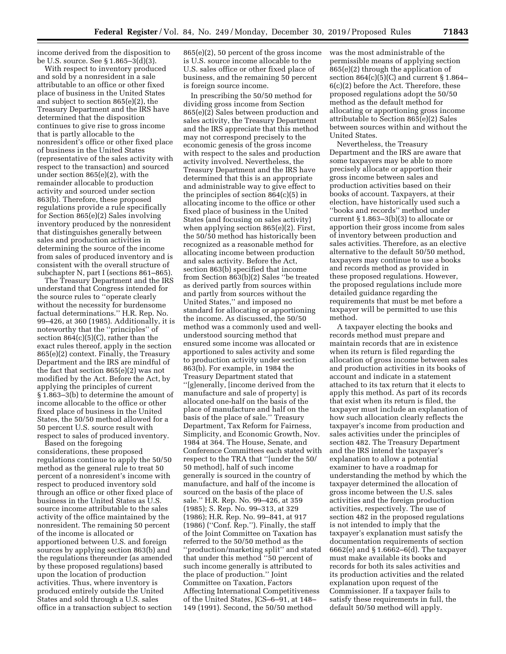income derived from the disposition to be U.S. source. See § 1.865–3(d)(3).

With respect to inventory produced and sold by a nonresident in a sale attributable to an office or other fixed place of business in the United States and subject to section 865(e)(2), the Treasury Department and the IRS have determined that the disposition continues to give rise to gross income that is partly allocable to the nonresident's office or other fixed place of business in the United States (representative of the sales activity with respect to the transaction) and sourced under section 865(e)(2), with the remainder allocable to production activity and sourced under section 863(b). Therefore, these proposed regulations provide a rule specifically for Section 865(e)(2) Sales involving inventory produced by the nonresident that distinguishes generally between sales and production activities in determining the source of the income from sales of produced inventory and is consistent with the overall structure of subchapter N, part I (sections 861–865).

The Treasury Department and the IRS understand that Congress intended for the source rules to ''operate clearly without the necessity for burdensome factual determinations.'' H.R. Rep. No. 99–426, at 360 (1985). Additionally, it is noteworthy that the ''principles'' of section 864(c)(5)(C), rather than the exact rules thereof, apply in the section 865(e)(2) context. Finally, the Treasury Department and the IRS are mindful of the fact that section 865(e)(2) was not modified by the Act. Before the Act, by applying the principles of current § 1.863–3(b) to determine the amount of income allocable to the office or other fixed place of business in the United States, the 50/50 method allowed for a 50 percent U.S. source result with respect to sales of produced inventory.

Based on the foregoing considerations, these proposed regulations continue to apply the 50/50 method as the general rule to treat 50 percent of a nonresident's income with respect to produced inventory sold through an office or other fixed place of business in the United States as U.S. source income attributable to the sales activity of the office maintained by the nonresident. The remaining 50 percent of the income is allocated or apportioned between U.S. and foreign sources by applying section 863(b) and the regulations thereunder (as amended by these proposed regulations) based upon the location of production activities. Thus, where inventory is produced entirely outside the United States and sold through a U.S. sales office in a transaction subject to section

865(e)(2), 50 percent of the gross income is U.S. source income allocable to the U.S. sales office or other fixed place of business, and the remaining 50 percent is foreign source income.

In prescribing the 50/50 method for dividing gross income from Section 865(e)(2) Sales between production and sales activity, the Treasury Department and the IRS appreciate that this method may not correspond precisely to the economic genesis of the gross income with respect to the sales and production activity involved. Nevertheless, the Treasury Department and the IRS have determined that this is an appropriate and administrable way to give effect to the principles of section 864(c)(5) in allocating income to the office or other fixed place of business in the United States (and focusing on sales activity) when applying section 865(e)(2). First, the 50/50 method has historically been recognized as a reasonable method for allocating income between production and sales activity. Before the Act, section 863(b) specified that income from Section 863(b)(2) Sales ''be treated as derived partly from sources within and partly from sources without the United States,'' and imposed no standard for allocating or apportioning the income. As discussed, the 50/50 method was a commonly used and wellunderstood sourcing method that ensured some income was allocated or apportioned to sales activity and some to production activity under section 863(b). For example, in 1984 the Treasury Department stated that ''[g]enerally, [income derived from the manufacture and sale of property] is allocated one-half on the basis of the place of manufacture and half on the basis of the place of sale.'' Treasury Department, Tax Reform for Fairness, Simplicity, and Economic Growth, Nov. 1984 at 364. The House, Senate, and Conference Committees each stated with respect to the TRA that ''[under the 50/ 50 method], half of such income generally is sourced in the country of manufacture, and half of the income is sourced on the basis of the place of sale.'' H.R. Rep. No. 99–426, at 359 (1985); S. Rep. No. 99–313, at 329 (1986); H.R. Rep. No. 99–841, at 917 (1986) (''Conf. Rep.''). Finally, the staff of the Joint Committee on Taxation has referred to the 50/50 method as the ''production/marketing split'' and stated that under this method ''50 percent of such income generally is attributed to the place of production.'' Joint Committee on Taxation, Factors Affecting International Competitiveness of the United States, JCS–6–91, at 148– 149 (1991). Second, the 50/50 method

was the most administrable of the permissible means of applying section 865(e)(2) through the application of section  $864(c)(5)(C)$  and current § 1.864– 6(c)(2) before the Act. Therefore, these proposed regulations adopt the 50/50 method as the default method for allocating or apportioning gross income attributable to Section 865(e)(2) Sales between sources within and without the United States.

Nevertheless, the Treasury Department and the IRS are aware that some taxpayers may be able to more precisely allocate or apportion their gross income between sales and production activities based on their books of account. Taxpayers, at their election, have historically used such a ''books and records'' method under current § 1.863–3(b)(3) to allocate or apportion their gross income from sales of inventory between production and sales activities. Therefore, as an elective alternative to the default 50/50 method, taxpayers may continue to use a books and records method as provided in these proposed regulations. However, the proposed regulations include more detailed guidance regarding the requirements that must be met before a taxpayer will be permitted to use this method.

A taxpayer electing the books and records method must prepare and maintain records that are in existence when its return is filed regarding the allocation of gross income between sales and production activities in its books of account and indicate in a statement attached to its tax return that it elects to apply this method. As part of its records that exist when its return is filed, the taxpayer must include an explanation of how such allocation clearly reflects the taxpayer's income from production and sales activities under the principles of section 482. The Treasury Department and the IRS intend the taxpayer's explanation to allow a potential examiner to have a roadmap for understanding the method by which the taxpayer determined the allocation of gross income between the U.S. sales activities and the foreign production activities, respectively. The use of section 482 in the proposed regulations is not intended to imply that the taxpayer's explanation must satisfy the documentation requirements of section 6662(e) and § 1.6662–6(d). The taxpayer must make available its books and records for both its sales activities and its production activities and the related explanation upon request of the Commissioner. If a taxpayer fails to satisfy these requirements in full, the default 50/50 method will apply.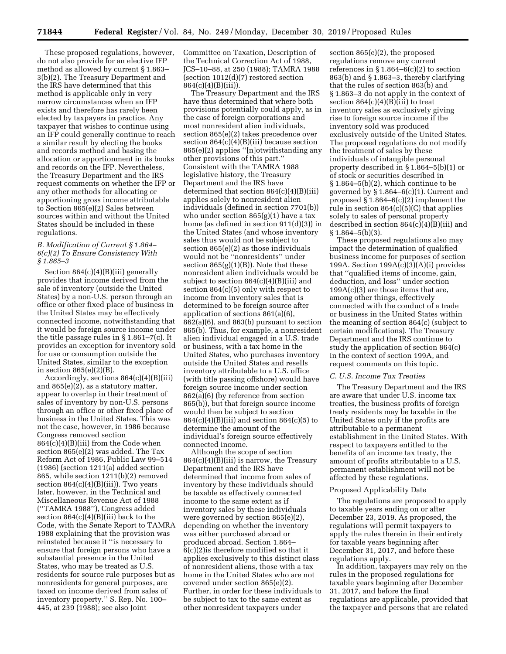These proposed regulations, however, do not also provide for an elective IFP method as allowed by current § 1.863– 3(b)(2). The Treasury Department and the IRS have determined that this method is applicable only in very narrow circumstances when an IFP exists and therefore has rarely been elected by taxpayers in practice. Any taxpayer that wishes to continue using an IFP could generally continue to reach a similar result by electing the books and records method and basing the allocation or apportionment in its books and records on the IFP. Nevertheless, the Treasury Department and the IRS request comments on whether the IFP or any other methods for allocating or apportioning gross income attributable to Section 865(e)(2) Sales between sources within and without the United States should be included in these regulations.

# *B. Modification of Current § 1.864– 6(c)(2) To Ensure Consistency With § 1.865–3*

Section  $864(c)(4)(B)(iii)$  generally provides that income derived from the sale of inventory (outside the United States) by a non-U.S. person through an office or other fixed place of business in the United States may be effectively connected income, notwithstanding that it would be foreign source income under the title passage rules in § 1.861–7(c). It provides an exception for inventory sold for use or consumption outside the United States, similar to the exception in section  $865(e)(2)(B)$ .

Accordingly, sections 864(c)(4)(B)(iii) and 865(e)(2), as a statutory matter, appear to overlap in their treatment of sales of inventory by non-U.S. persons through an office or other fixed place of business in the United States. This was not the case, however, in 1986 because Congress removed section 864(c)(4)(B)(iii) from the Code when section 865(e)(2) was added. The Tax Reform Act of 1986, Public Law 99–514 (1986) (section 1211(a) added section 865, while section 1211(b)(2) removed section  $864(c)(4)(B)(iii)$ . Two years later, however, in the Technical and Miscellaneous Revenue Act of 1988 (''TAMRA 1988''), Congress added section  $864(c)(4)(B)(iii)$  back to the Code, with the Senate Report to TAMRA 1988 explaining that the provision was reinstated because it ''is necessary to ensure that foreign persons who have a substantial presence in the United States, who may be treated as U.S. residents for source rule purposes but as nonresidents for general purposes, are taxed on income derived from sales of inventory property.'' S. Rep. No. 100– 445, at 239 (1988); see also Joint

Committee on Taxation, Description of the Technical Correction Act of 1988, JCS–10–88, at 250 (1988); TAMRA 1988 (section 1012(d)(7) restored section 864(c)(4)(B)(iii)).

The Treasury Department and the IRS have thus determined that where both provisions potentially could apply, as in the case of foreign corporations and most nonresident alien individuals, section 865(e)(2) takes precedence over section 864(c)(4)(B)(iii) because section 865(e)(2) applies ''[n]otwithstanding any other provisions of this part.'' Consistent with the TAMRA 1988 legislative history, the Treasury Department and the IRS have determined that section 864(c)(4)(B)(iii) applies solely to nonresident alien individuals (defined in section 7701(b)) who under section 865(g)(1) have a tax home (as defined in section 911(d)(3)) in the United States (and whose inventory sales thus would not be subject to section 865(e)(2) as those individuals would not be ''nonresidents'' under section 865(g)(1)(B)). Note that these nonresident alien individuals would be subject to section  $864(c)(4)(B)(iii)$  and section 864(c)(5) only with respect to income from inventory sales that is determined to be foreign source after application of sections 861(a)(6), 862(a)(6), and 863(b) pursuant to section 865(b). Thus, for example, a nonresident alien individual engaged in a U.S. trade or business, with a tax home in the United States, who purchases inventory outside the United States and resells inventory attributable to a U.S. office (with title passing offshore) would have foreign source income under section 862(a)(6) (by reference from section 865(b)), but that foreign source income would then be subject to section  $864(c)(4)(B)(iii)$  and section  $864(c)(5)$  to determine the amount of the individual's foreign source effectively connected income.

Although the scope of section  $864(c)(4)(B)(iii)$  is narrow, the Treasury Department and the IRS have determined that income from sales of inventory by these individuals should be taxable as effectively connected income to the same extent as if inventory sales by these individuals were governed by section 865(e)(2), depending on whether the inventory was either purchased abroad or produced abroad. Section 1.864– 6(c)(2)is therefore modified so that it applies exclusively to this distinct class of nonresident aliens, those with a tax home in the United States who are not covered under section 865(e)(2). Further, in order for these individuals to be subject to tax to the same extent as other nonresident taxpayers under

section 865(e)(2), the proposed regulations remove any current references in  $\S 1.864-6(c)(2)$  to section 863(b) and § 1.863–3, thereby clarifying that the rules of section 863(b) and § 1.863–3 do not apply in the context of section  $864(c)(4)(B)(iii)$  to treat inventory sales as exclusively giving rise to foreign source income if the inventory sold was produced exclusively outside of the United States. The proposed regulations do not modify the treatment of sales by these individuals of intangible personal property described in § 1.864–5(b)(1) or of stock or securities described in § 1.864–5(b)(2), which continue to be governed by § 1.864–6(c)(1). Current and proposed § 1.864–6(c)(2) implement the rule in section  $864(c)(5)(C)$  that applies solely to sales of personal property described in section  $864(c)(4)(B)(iii)$  and  $§ 1.864 - 5(b)(3).$ 

These proposed regulations also may impact the determination of qualified business income for purposes of section 199A. Section 199A(c)(3)(A)(i) provides that ''qualified items of income, gain, deduction, and loss'' under section 199A(c)(3) are those items that are, among other things, effectively connected with the conduct of a trade or business in the United States within the meaning of section 864(c) (subject to certain modifications). The Treasury Department and the IRS continue to study the application of section 864(c) in the context of section 199A, and request comments on this topic.

#### *C. U.S. Income Tax Treaties*

The Treasury Department and the IRS are aware that under U.S. income tax treaties, the business profits of foreign treaty residents may be taxable in the United States only if the profits are attributable to a permanent establishment in the United States. With respect to taxpayers entitled to the benefits of an income tax treaty, the amount of profits attributable to a U.S. permanent establishment will not be affected by these regulations.

#### Proposed Applicability Date

The regulations are proposed to apply to taxable years ending on or after December 23, 2019. As proposed, the regulations will permit taxpayers to apply the rules therein in their entirety for taxable years beginning after December 31, 2017, and before these regulations apply.

In addition, taxpayers may rely on the rules in the proposed regulations for taxable years beginning after December 31, 2017, and before the final regulations are applicable, provided that the taxpayer and persons that are related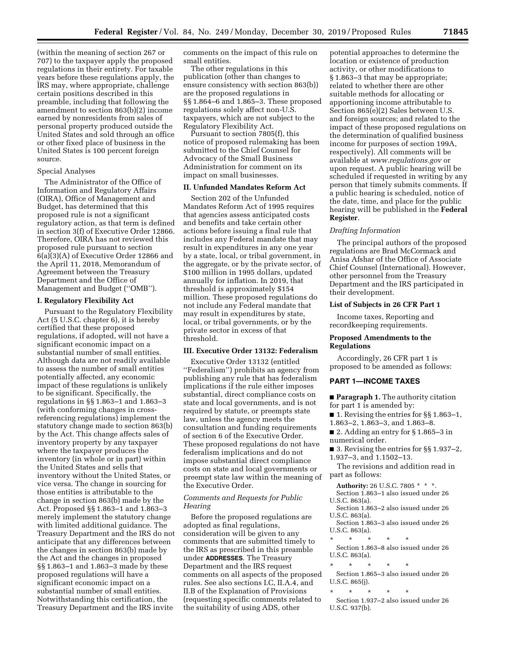(within the meaning of section 267 or 707) to the taxpayer apply the proposed regulations in their entirety. For taxable years before these regulations apply, the IRS may, where appropriate, challenge certain positions described in this preamble, including that following the amendment to section 863(b)(2) income earned by nonresidents from sales of personal property produced outside the United States and sold through an office or other fixed place of business in the United States is 100 percent foreign source.

### Special Analyses

The Administrator of the Office of Information and Regulatory Affairs (OIRA), Office of Management and Budget, has determined that this proposed rule is not a significant regulatory action, as that term is defined in section 3(f) of Executive Order 12866. Therefore, OIRA has not reviewed this proposed rule pursuant to section 6(a)(3)(A) of Executive Order 12866 and the April 11, 2018, Memorandum of Agreement between the Treasury Department and the Office of Management and Budget (''OMB'').

### **I. Regulatory Flexibility Act**

Pursuant to the Regulatory Flexibility Act (5 U.S.C. chapter 6), it is hereby certified that these proposed regulations, if adopted, will not have a significant economic impact on a substantial number of small entities. Although data are not readily available to assess the number of small entities potentially affected, any economic impact of these regulations is unlikely to be significant. Specifically, the regulations in §§ 1.863–1 and 1.863–3 (with conforming changes in crossreferencing regulations) implement the statutory change made to section 863(b) by the Act. This change affects sales of inventory property by any taxpayer where the taxpayer produces the inventory (in whole or in part) within the United States and sells that inventory without the United States, or vice versa. The change in sourcing for those entities is attributable to the change in section 863(b) made by the Act. Proposed §§ 1.863–1 and 1.863–3 merely implement the statutory change with limited additional guidance. The Treasury Department and the IRS do not anticipate that any differences between the changes in section 863(b) made by the Act and the changes in proposed §§ 1.863–1 and 1.863–3 made by these proposed regulations will have a significant economic impact on a substantial number of small entities. Notwithstanding this certification, the Treasury Department and the IRS invite

comments on the impact of this rule on small entities.

The other regulations in this publication (other than changes to ensure consistency with section 863(b)) are the proposed regulations in §§ 1.864–6 and 1.865–3. These proposed regulations solely affect non-U.S. taxpayers, which are not subject to the Regulatory Flexibility Act.

Pursuant to section 7805(f), this notice of proposed rulemaking has been submitted to the Chief Counsel for Advocacy of the Small Business Administration for comment on its impact on small businesses.

# **II. Unfunded Mandates Reform Act**

Section 202 of the Unfunded Mandates Reform Act of 1995 requires that agencies assess anticipated costs and benefits and take certain other actions before issuing a final rule that includes any Federal mandate that may result in expenditures in any one year by a state, local, or tribal government, in the aggregate, or by the private sector, of \$100 million in 1995 dollars, updated annually for inflation. In 2019, that threshold is approximately \$154 million. These proposed regulations do not include any Federal mandate that may result in expenditures by state, local, or tribal governments, or by the private sector in excess of that threshold.

#### **III. Executive Order 13132: Federalism**

Executive Order 13132 (entitled ''Federalism'') prohibits an agency from publishing any rule that has federalism implications if the rule either imposes substantial, direct compliance costs on state and local governments, and is not required by statute, or preempts state law, unless the agency meets the consultation and funding requirements of section 6 of the Executive Order. These proposed regulations do not have federalism implications and do not impose substantial direct compliance costs on state and local governments or preempt state law within the meaning of the Executive Order.

### *Comments and Requests for Public Hearing*

Before the proposed regulations are adopted as final regulations, consideration will be given to any comments that are submitted timely to the IRS as prescribed in this preamble under **ADDRESSES**. The Treasury Department and the IRS request comments on all aspects of the proposed rules. See also sections I.C, II.A.4, and II.B of the Explanation of Provisions (requesting specific comments related to the suitability of using ADS, other

potential approaches to determine the location or existence of production activity, or other modifications to § 1.863–3 that may be appropriate; related to whether there are other suitable methods for allocating or apportioning income attributable to Section 865(e)(2) Sales between U.S. and foreign sources; and related to the impact of these proposed regulations on the determination of qualified business income for purposes of section 199A, respectively). All comments will be available at *[www.regulations.gov](http://www.regulations.gov)* or upon request. A public hearing will be scheduled if requested in writing by any person that timely submits comments. If a public hearing is scheduled, notice of the date, time, and place for the public hearing will be published in the **Federal Register**.

### *Drafting Information*

The principal authors of the proposed regulations are Brad McCormack and Anisa Afshar of the Office of Associate Chief Counsel (International). However, other personnel from the Treasury Department and the IRS participated in their development.

### **List of Subjects in 26 CFR Part 1**

Income taxes, Reporting and recordkeeping requirements.

### **Proposed Amendments to the Regulations**

Accordingly, 26 CFR part 1 is proposed to be amended as follows:

# **PART 1—INCOME TAXES**

■ **Paragraph 1.** The authority citation for part 1 is amended by:

■ 1. Revising the entries for  $\S$ § 1.863–1, 1.863–2, 1.863–3, and 1.863–8.

■ 2. Adding an entry for § 1.865–3 in numerical order.

■ 3. Revising the entries for §§ 1.937–2, 1.937–3, and 1.1502–13.

The revisions and addition read in part as follows:

**Authority:** 26 U.S.C. 7805 \* \* \*. Section 1.863–1 also issued under 26

U.S.C. 863(a). Section 1.863–2 also issued under 26

U.S.C. 863(a). Section 1.863–3 also issued under 26

U.S.C. 863(a).

\* \* \* \* \* Section 1.863–8 also issued under 26 U.S.C. 863(a).

\* \* \* \* \*

Section 1.865–3 also issued under 26 U.S.C. 865(j).

\* \* \* \* \*

Section 1.937–2 also issued under 26 U.S.C. 937(b).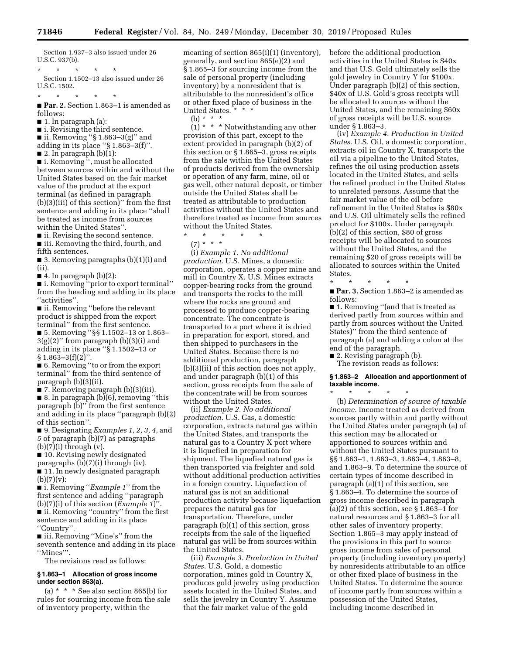Section 1.937–3 also issued under 26 U.S.C. 937(b).

\* \* \* \* \* Section 1.1502–13 also issued under 26 U.S.C. 1502.

\* \* \* \* \*

■ **Par. 2.** Section 1.863–1 is amended as follows:

■ 1. In paragraph (a):

■ i. Revising the third sentence.

 $\blacksquare$  ii. Removing "§ 1.863–3(g)" and adding in its place ''§ 1.863–3(f)''.

 $\blacksquare$  2. In paragraph (b)(1):

■ i. Removing ", must be allocated

between sources within and without the United States based on the fair market value of the product at the export terminal (as defined in paragraph (b)(3)(iii) of this section)'' from the first sentence and adding in its place ''shall be treated as income from sources within the United States''.

■ ii. Revising the second sentence. ■ iii. Removing the third, fourth, and

fifth sentences. ■ 3. Removing paragraphs (b)(1)(i) and

(ii).

 $\blacksquare$  4. In paragraph (b)(2):

■ i. Removing "prior to export terminal" from the heading and adding in its place ''activities''.

■ ii. Removing "before the relevant product is shipped from the export terminal'' from the first sentence.

■ 5. Removing ''§§ 1.1502–13 or 1.863–  $3(g)(2)$ " from paragraph  $(b)(3)(i)$  and adding in its place ''§ 1.1502–13 or  $§ 1.863 - 3(f)(2)$ ".

■ 6. Removing "to or from the export terminal'' from the third sentence of paragraph (b)(3)(ii).

■ 7. Removing paragraph (b)(3)(iii).

■ 8. In paragraph (b)(6), removing "this paragraph (b)'' from the first sentence and adding in its place ''paragraph (b)(2) of this section''.

■ 9. Designating *Examples 1, 2, 3, 4,* and *5* of paragraph (b)(7) as paragraphs  $(b)(7)(i)$  through  $(v)$ .

■ 10. Revising newly designated paragraphs (b)(7)(i) through (iv). ■ 11. In newly designated paragraph

 $(b)(7)(v):$ ■ i. Removing ''*Example 1*'' from the

first sentence and adding ''paragraph (b)(7)(i) of this section (*Example 1*)''. ■ ii. Removing "country" from the first sentence and adding in its place ''Country''.

■ iii. Removing "Mine's" from the seventh sentence and adding in its place ''Mines'''.

The revisions read as follows:

#### **§ 1.863–1 Allocation of gross income under section 863(a).**

(a)  $*$   $*$   $*$  See also section 865(b) for rules for sourcing income from the sale of inventory property, within the

meaning of section 865(i)(1) (inventory), generally, and section 865(e)(2) and § 1.865–3 for sourcing income from the sale of personal property (including inventory) by a nonresident that is attributable to the nonresident's office or other fixed place of business in the United States. \* \* \*

(b) \* \* \*

 $(1)$  \* \* \* Notwithstanding any other provision of this part, except to the extent provided in paragraph (b)(2) of this section or § 1.865–3, gross receipts from the sale within the United States of products derived from the ownership or operation of any farm, mine, oil or gas well, other natural deposit, or timber outside the United States shall be treated as attributable to production activities without the United States and therefore treated as income from sources without the United States.

\* \* \* \* \* (7) \* \* \*

(i) *Example 1. No additional production.* U.S. Mines, a domestic corporation, operates a copper mine and mill in Country X. U.S. Mines extracts copper-bearing rocks from the ground and transports the rocks to the mill where the rocks are ground and processed to produce copper-bearing concentrate. The concentrate is transported to a port where it is dried in preparation for export, stored, and then shipped to purchasers in the United States. Because there is no additional production, paragraph (b)(3)(ii) of this section does not apply, and under paragraph (b)(1) of this section, gross receipts from the sale of the concentrate will be from sources without the United States.

(ii) *Example 2. No additional production.* U.S. Gas, a domestic corporation, extracts natural gas within the United States, and transports the natural gas to a Country X port where it is liquefied in preparation for shipment. The liquefied natural gas is then transported via freighter and sold without additional production activities in a foreign country. Liquefaction of natural gas is not an additional production activity because liquefaction prepares the natural gas for transportation. Therefore, under paragraph (b)(1) of this section, gross receipts from the sale of the liquefied natural gas will be from sources within the United States.

(iii) *Example 3. Production in United States.* U.S. Gold, a domestic corporation, mines gold in Country X, produces gold jewelry using production assets located in the United States, and sells the jewelry in Country Y. Assume that the fair market value of the gold

before the additional production activities in the United States is \$40x and that U.S. Gold ultimately sells the gold jewelry in Country Y for \$100x. Under paragraph (b)(2) of this section, \$40x of U.S. Gold's gross receipts will be allocated to sources without the United States, and the remaining \$60x of gross receipts will be U.S. source under § 1.863–3.

(iv) *Example 4. Production in United States.* U.S. Oil, a domestic corporation, extracts oil in Country X, transports the oil via a pipeline to the United States, refines the oil using production assets located in the United States, and sells the refined product in the United States to unrelated persons. Assume that the fair market value of the oil before refinement in the United States is \$80x and U.S. Oil ultimately sells the refined product for \$100x. Under paragraph (b)(2) of this section, \$80 of gross receipts will be allocated to sources without the United States, and the remaining \$20 of gross receipts will be allocated to sources within the United States.

\* \* \* \* \* ■ **Par. 3.** Section 1.863–2 is amended as follows:

■ 1. Removing "(and that is treated as derived partly from sources within and partly from sources without the United States)'' from the third sentence of paragraph (a) and adding a colon at the end of the paragraph.

■ 2. Revising paragraph (b).

The revision reads as follows:

**§ 1.863–2 Allocation and apportionment of taxable income.** 

\* \* \* \* \* (b) *Determination of source of taxable income.* Income treated as derived from sources partly within and partly without the United States under paragraph (a) of this section may be allocated or apportioned to sources within and without the United States pursuant to §§ 1.863–1, 1.863–3, 1.863–4, 1.863–8, and 1.863–9. To determine the source of certain types of income described in paragraph (a)(1) of this section, see § 1.863–4. To determine the source of gross income described in paragraph  $(a)(2)$  of this section, see § 1.863–1 for natural resources and § 1.863–3 for all other sales of inventory property. Section 1.865–3 may apply instead of the provisions in this part to source gross income from sales of personal property (including inventory property) by nonresidents attributable to an office or other fixed place of business in the United States. To determine the source of income partly from sources within a possession of the United States, including income described in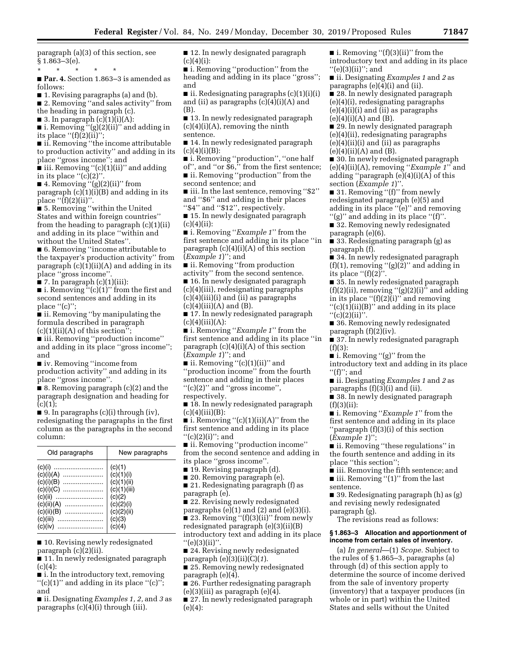paragraph (a)(3) of this section, see  $§ 1.863 - 3(e).$ 

\* \* \* \* \*

■ **Par. 4.** Section 1.863–3 is amended as follows:

■ 1. Revising paragraphs (a) and (b).

■ 2. Removing "and sales activity" from the heading in paragraph (c).

■ 3. In paragraph  $(c)(1)(i)(A)$ : ■ i. Removing ''(g)(2)(ii)'' and adding in

its place  $"({\it f})(2)({\rm ii})";$ ■ ii. Removing "the income attributable to production activity'' and adding in its

place ''gross income''; and ■ iii. Removing "(c)(1)(ii)" and adding in its place " $(c)(2)$ "

■ 4. Removing "(g)(2)(ii)" from paragraph  $(c)(1)(i)(B)$  and adding in its place  $"({f})(2)(ii)$ ".

■ 5. Removing ''within the United States and within foreign countries'' from the heading to paragraph (c)(1)(ii) and adding in its place ''within and without the United States''.

■ 6. Removing ''income attributable to the taxpayer's production activity'' from paragraph  $(c)(1)(ii)(A)$  and adding in its place ''gross income''.

 $\blacksquare$  7. In paragraph  $(c)(1)(iii)$ :

 $\blacksquare$  i. Removing "(c)(1)" from the first and second sentences and adding in its place ''(c)'';

■ ii. Removing "by manipulating the formula described in paragraph  $(c)(1)(ii)(A)$  of this section";

■ iii. Removing "production income" and adding in its place ''gross income''; and

■ iv. Removing "income from

production activity'' and adding in its place ''gross income''.

 $\blacksquare$  8. Removing paragraph  $(c)(2)$  and the paragraph designation and heading for  $(c)(1);$ 

■ 9. In paragraphs (c)(i) through (iv), redesignating the paragraphs in the first column as the paragraphs in the second column:

| Old paragraphs                                                                 | New paragraphs                                                                                  |
|--------------------------------------------------------------------------------|-------------------------------------------------------------------------------------------------|
| $(c)(i)(B)$<br>(c)(i)(C)<br>(c)(ii)<br><br>$(c)(ii)(B)$<br>(c)(iii)<br>(c)(iv) | (c)(1)<br>(c)(1)(i)<br>(c)(1)(ii)<br>(c)(1)(iii)<br>(c)(2)<br>(c)(2)(i)<br>(c)(2)(ii)<br>(c)(3) |
|                                                                                |                                                                                                 |

■ 10. Revising newly redesignated paragraph (c)(2)(ii).

■ 11. In newly redesignated paragraph  $(c)(4)$ :

■ i. In the introductory text, removing  $''(c)(1)''$  and adding in its place  $''(c)''$ ; and

■ ii. Designating *Examples 1, 2,* and *3* as paragraphs (c)(4)(i) through (iii).

■ 12. In newly designated paragraph  $(c)(4)(i)$ :

■ i. Removing "production" from the heading and adding in its place ''gross''; and

 $\blacksquare$  ii. Redesignating paragraphs  $(c)(1)(i)(i)$ and (ii) as paragraphs  $(c)(4)(i)(A)$  and (B).

■ 13. In newly redesignated paragraph  $(c)(4)(i)(A)$ , removing the ninth sentence.

■ 14. In newly redesignated paragraph  $(c)(4)(i)(B)$ :

■ i. Removing "production", "one half

of'', and ''or \$6,'' from the first sentence; ■ ii. Removing ''production'' from the second sentence; and

■ iii. In the last sentence, removing "\$2" and ''\$6'' and adding in their places ''\$4'' and ''\$12'', respectively.

■ 15. In newly designated paragraph  $(c)(4)(ii):$ 

■ i. Removing "*Example 1*" from the first sentence and adding in its place ''in paragraph  $(c)(4)(i)(A)$  of this section (*Example 1*)''; and

■ ii. Removing "from production

activity'' from the second sentence. ■ 16. In newly designated paragraph

(c)(4)(iii), redesignating paragraphs (c)(4)(iii)(i) and (ii) as paragraphs  $(c)(4)(iii)(A)$  and  $(B)$ .

■ 17. In newly redesignated paragraph  $(c)(4)(iii)(A):$ 

■ i. Removing "*Example 1*" from the first sentence and adding in its place ''in paragraph  $(c)(4)(i)(A)$  of this section (*Example 1*)''; and

■ ii. Removing "(c)(1)(ii)" and ''production income'' from the fourth sentence and adding in their places ''(c)(2)'' and ''gross income'', respectively.

■ 18. In newly redesignated paragraph  $(c)(4)(iii)(B):$ 

 $\blacksquare$  i. Removing "(c)(1)(ii)(A)" from the first sentence and adding in its place  $''(c)(2)(i)''$ ; and

■ ii. Removing ''production income'' from the second sentence and adding in its place ''gross income''.

■ 19. Revising paragraph (d).

■ 20. Removing paragraph (e).

■ 21. Redesignating paragraph (f) as paragraph (e).

■ 22. Revising newly redesignated paragraphs  $(e)(1)$  and  $(2)$  and  $(e)(3)(i)$ . ■ 23. Removing "(f)(3)(ii)" from newly redesignated paragraph (e)(3)(ii)(B) introductory text and adding in its place  $"$ (e)(3)(ii)".

■ 24. Revising newly redesignated paragraph (e)(3)(ii)(C)(*1*).

■ 25. Removing newly redesignated paragraph (e)(4).

■ 26. Further redesignating paragraph  $(e)(3)(iii)$  as paragraph  $(e)(4)$ .

■ 27. In newly redesignated paragraph (e)(4):

 $\blacksquare$  i. Removing "(f)(3)(ii)" from the introductory text and adding in its place  $''(e)(3)(ii)''$ ; and

■ ii. Designating *Examples 1* and *2* as paragraphs (e)(4)(i) and (ii).

■ 28. In newly designated paragraph (e)(4)(i), redesignating paragraphs  $(e)(4)(i)(i)$  and  $(ii)$  as paragraphs  $(e)(4)(i)(A)$  and  $(B)$ .

■ 29. In newly designated paragraph (e)(4)(ii), redesignating paragraphs  $(e)(4)(ii)(i)$  and  $(ii)$  as paragraphs  $(e)(4)(ii)(A)$  and  $(B)$ .

■ 30. In newly redesignated paragraph (e)(4)(ii)(A), removing ''*Example 1*'' and adding ''paragraph (e)(4)(i)(A) of this section (*Example 1*)''.

■ 31. Removing "(f)" from newly redesignated paragraph (e)(5) and adding in its place ''(e)'' and removing ''(g)'' and adding in its place ''(f)''.

■ 32. Removing newly redesignated paragraph (e)(6).

■ 33. Redesignating paragraph (g) as paragraph (f).

■ 34. In newly redesignated paragraph  $(f)(1)$ , removing " $(g)(2)$ " and adding in its place ''(f)(2)''.

■ 35. In newly redesignated paragraph  $(f)(2)(ii)$ , removing " $(g)(2)(i)$ " and adding in its place " $(f)(2)(i)$ " and removing ''(c)(1)(ii)(B)'' and adding in its place

 $"({\rm c})(2)$ (ii)".

■ 36. Removing newly redesignated paragraph (f)(2)(iv).

■ 37. In newly redesignated paragraph  $(f)(3)$ :

 $\blacksquare$  i. Removing "(g)" from the introductory text and adding in its place

 $''(f)$ "; and

■ ii. Designating *Examples 1* and *2* as paragraphs (f)(3)(i) and (ii).

■ 38. In newly designated paragraph  $(f)(3)(ii)$ :

■ i. Removing "*Example 1*" from the first sentence and adding in its place ''paragraph (f)(3)(i) of this section (*Example 1*)'';

■ ii. Removing "these regulations" in the fourth sentence and adding in its place ''this section'';

■ iii. Removing the fifth sentence; and ■ iii. Removing "(1)" from the last sentence.

■ 39. Redesignating paragraph (h) as (g) and revising newly redesignated paragraph (g).

The revisions read as follows:

#### **§ 1.863–3 Allocation and apportionment of income from certain sales of inventory.**

(a) *In general*—(1) *Scope.* Subject to the rules of § 1.865–3, paragraphs (a) through (d) of this section apply to determine the source of income derived from the sale of inventory property (inventory) that a taxpayer produces (in whole or in part) within the United States and sells without the United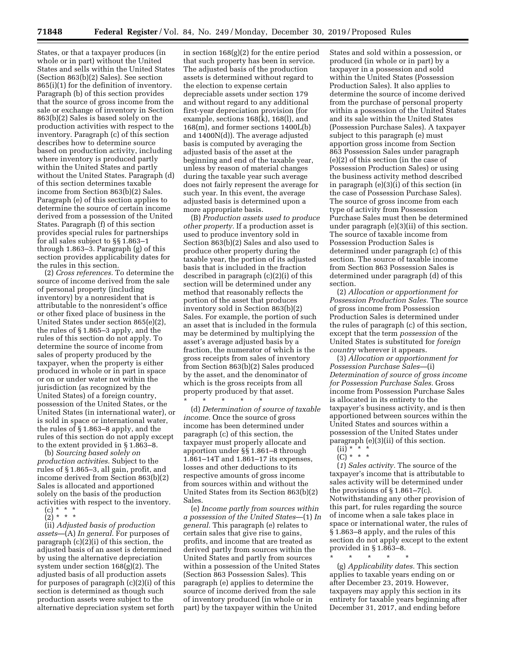States, or that a taxpayer produces (in whole or in part) without the United States and sells within the United States (Section 863(b)(2) Sales). See section 865(i)(1) for the definition of inventory. Paragraph (b) of this section provides that the source of gross income from the sale or exchange of inventory in Section 863(b)(2) Sales is based solely on the production activities with respect to the inventory. Paragraph (c) of this section describes how to determine source based on production activity, including where inventory is produced partly within the United States and partly without the United States. Paragraph (d) of this section determines taxable income from Section 863(b)(2) Sales. Paragraph (e) of this section applies to determine the source of certain income derived from a possession of the United States. Paragraph (f) of this section provides special rules for partnerships for all sales subject to §§ 1.863–1 through 1.863–3. Paragraph (g) of this section provides applicability dates for the rules in this section.

(2) *Cross references.* To determine the source of income derived from the sale of personal property (including inventory) by a nonresident that is attributable to the nonresident's office or other fixed place of business in the United States under section 865(e)(2), the rules of § 1.865–3 apply, and the rules of this section do not apply. To determine the source of income from sales of property produced by the taxpayer, when the property is either produced in whole or in part in space or on or under water not within the jurisdiction (as recognized by the United States) of a foreign country, possession of the United States, or the United States (in international water), or is sold in space or international water, the rules of § 1.863–8 apply, and the rules of this section do not apply except to the extent provided in § 1.863–8.

(b) *Sourcing based solely on production activities.* Subject to the rules of § 1.865–3, all gain, profit, and income derived from Section 863(b)(2) Sales is allocated and apportioned solely on the basis of the production activities with respect to the inventory.

(c) \* \* \*  $(2)^*$  \* \*

(ii) *Adjusted basis of production assets*—(A) *In general.* For purposes of paragraph (c)(2)(i) of this section, the adjusted basis of an asset is determined by using the alternative depreciation system under section 168(g)(2). The adjusted basis of all production assets for purposes of paragraph (c)(2)(i) of this section is determined as though such production assets were subject to the alternative depreciation system set forth

in section 168(g)(2) for the entire period that such property has been in service. The adjusted basis of the production assets is determined without regard to the election to expense certain depreciable assets under section 179 and without regard to any additional first-year depreciation provision (for example, sections 168(k), 168(l), and 168(m), and former sections 1400L(b) and 1400N(d)). The average adjusted basis is computed by averaging the adjusted basis of the asset at the beginning and end of the taxable year, unless by reason of material changes during the taxable year such average does not fairly represent the average for such year. In this event, the average adjusted basis is determined upon a more appropriate basis.

(B) *Production assets used to produce other property.* If a production asset is used to produce inventory sold in Section 863(b)(2) Sales and also used to produce other property during the taxable year, the portion of its adjusted basis that is included in the fraction described in paragraph (c)(2)(i) of this section will be determined under any method that reasonably reflects the portion of the asset that produces inventory sold in Section 863(b)(2) Sales. For example, the portion of such an asset that is included in the formula may be determined by multiplying the asset's average adjusted basis by a fraction, the numerator of which is the gross receipts from sales of inventory from Section 863(b)(2) Sales produced by the asset, and the denominator of which is the gross receipts from all property produced by that asset.

(d) *Determination of source of taxable income.* Once the source of gross income has been determined under paragraph (c) of this section, the taxpayer must properly allocate and apportion under §§ 1.861–8 through 1.861–14T and 1.861–17 its expenses, losses and other deductions to its respective amounts of gross income from sources within and without the United States from its Section 863(b)(2) Sales.

\* \* \* \* \*

(e) *Income partly from sources within a possession of the United States*—(1) *In general.* This paragraph (e) relates to certain sales that give rise to gains, profits, and income that are treated as derived partly from sources within the United States and partly from sources within a possession of the United States (Section 863 Possession Sales). This paragraph (e) applies to determine the source of income derived from the sale of inventory produced (in whole or in part) by the taxpayer within the United

States and sold within a possession, or produced (in whole or in part) by a taxpayer in a possession and sold within the United States (Possession Production Sales). It also applies to determine the source of income derived from the purchase of personal property within a possession of the United States and its sale within the United States (Possession Purchase Sales). A taxpayer subject to this paragraph (e) must apportion gross income from Section 863 Possession Sales under paragraph (e)(2) of this section (in the case of Possession Production Sales) or using the business activity method described in paragraph (e)(3)(i) of this section (in the case of Possession Purchase Sales). The source of gross income from each type of activity from Possession Purchase Sales must then be determined under paragraph (e)(3)(ii) of this section. The source of taxable income from Possession Production Sales is determined under paragraph (c) of this section. The source of taxable income from Section 863 Possession Sales is determined under paragraph (d) of this section.

(2) *Allocation or apportionment for Possession Production Sales.* The source of gross income from Possession Production Sales is determined under the rules of paragraph (c) of this section, except that the term *possession* of the United States is substituted for *foreign country* wherever it appears.

(3) *Allocation or apportionment for Possession Purchase Sales*—(i) *Determination of source of gross income for Possession Purchase Sales.* Gross income from Possession Purchase Sales is allocated in its entirety to the taxpayer's business activity, and is then apportioned between sources within the United States and sources within a possession of the United States under paragraph (e)(3)(ii) of this section.

- (ii) \* \* \*
- (C) \* \* \*

(*1*) *Sales activity.* The source of the taxpayer's income that is attributable to sales activity will be determined under the provisions of  $\S 1.861 - 7(c)$ . Notwithstanding any other provision of this part, for rules regarding the source of income when a sale takes place in space or international water, the rules of § 1.863–8 apply, and the rules of this section do not apply except to the extent provided in § 1.863–8.

\* \* \* \* \* (g) *Applicability dates.* This section applies to taxable years ending on or after December 23, 2019. However, taxpayers may apply this section in its entirety for taxable years beginning after December 31, 2017, and ending before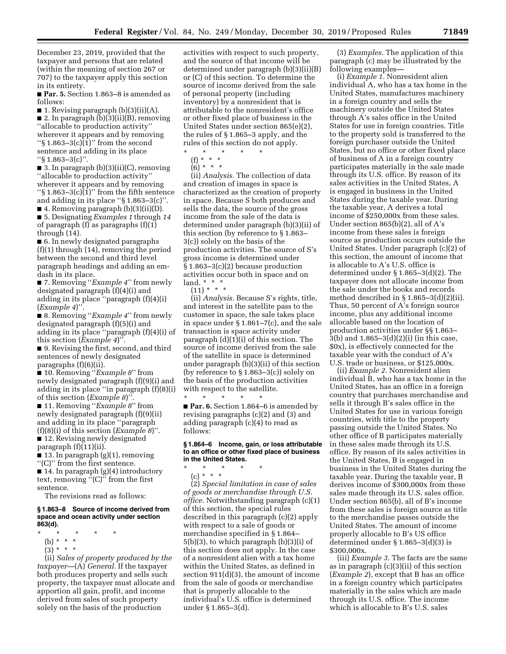December 23, 2019, provided that the taxpayer and persons that are related (within the meaning of section 267 or 707) to the taxpayer apply this section in its entirety.

■ **Par. 5.** Section 1.863-8 is amended as follows:

■ 1. Revising paragraph  $(b)(3)(ii)(A)$ . ■ 2. In paragraph (b)(3)(ii)(B), removing ''allocable to production activity'' wherever it appears and by removing

" $§ 1.863-3(c)$ (1)" from the second sentence and adding in its place ''§ 1.863–3(c)''.

■ 3. In paragraph (b)(3)(ii)(C), removing ''allocable to production activity'' wherever it appears and by removing " $\S 1.863-3(c)$ (1)" from the fifth sentence and adding in its place ''§ 1.863–3(c)''.

■ 4. Removing paragraph (b)(3)(ii)(D). ■ 5. Designating *Examples 1* through *14*  of paragraph (f) as paragraphs (f)(1) through (14).

■ 6. In newly designated paragraphs (f)(1) through (14), removing the period between the second and third level paragraph headings and adding an emdash in its place.

■ 7. Removing ''*Example 4*'' from newly designated paragraph (f)(4)(i) and adding in its place ''paragraph (f)(4)(i) (*Example 4*)''.

■ 8. Removing "*Example 4*" from newly designated paragraph (f)(5)(i) and adding in its place ''paragraph (f)(4)(i) of this section (*Example 4*)''.

■ 9. Revising the first, second, and third sentences of newly designated paragraphs (f)(6)(ii).

■ 10. Removing "*Example 8*" from newly designated paragraph (f)(9)(i) and adding in its place ''in paragraph (f)(8)(i) of this section (*Example 8*)''.

■ 11. Removing "*Example 8*" from newly designated paragraph (f)(9)(ii) and adding in its place ''paragraph (f)(8)(i) of this section (*Example 8*)''.

■ 12. Revising newly designated paragraph (f)(11)(ii).

■ 13. In paragraph (g)(1), removing ''(C)'' from the first sentence.

■ 14. In paragraph (g)(4) introductory text, removing ''(C)'' from the first sentence.

The revisions read as follows:

#### **§ 1.863–8 Source of income derived from space and ocean activity under section 863(d).**

- \* \* \* \* \*
- (b) \* \* \*
- $(3) * * * *$

(ii) *Sales of property produced by the taxpayer*—(A) *General.* If the taxpayer both produces property and sells such property, the taxpayer must allocate and apportion all gain, profit, and income derived from sales of such property solely on the basis of the production

activities with respect to such property, and the source of that income will be determined under paragraph (b)(3)(ii)(B) or (C) of this section. To determine the source of income derived from the sale of personal property (including inventory) by a nonresident that is attributable to the nonresident's office or other fixed place of business in the United States under section 865(e)(2), the rules of § 1.865–3 apply, and the rules of this section do not apply.

\* \* \* \* \* (f) \* \* \* \*

 $(6) * * * *$ 

(ii) *Analysis.* The collection of data and creation of images in space is characterized as the creation of property in space. Because S both produces and sells the data, the source of the gross income from the sale of the data is determined under paragraph (b)(3)(ii) of this section (by reference to § 1.863– 3(c)) solely on the basis of the production activities. The source of S's gross income is determined under § 1.863–3(c)(2) because production activities occur both in space and on land. \* \* \*

 $(11) * * * *$ 

(ii) *Analysis.* Because S's rights, title, and interest in the satellite pass to the customer in space, the sale takes place in space under § 1.861–7(c), and the sale transaction is space activity under paragraph (d)(1)(i) of this section. The source of income derived from the sale of the satellite in space is determined under paragraph (b)(3)(ii) of this section (by reference to § 1.863–3(c)) solely on the basis of the production activities with respect to the satellite.

\* \* \* \* \* ■ **Par. 6.** Section 1.864–6 is amended by revising paragraphs (c)(2) and (3) and adding paragraph (c)(4) to read as follows:

#### **§ 1.864–6 Income, gain, or loss attributable to an office or other fixed place of business in the United States.**

\* \* \* \* \*

(c) \* \* \* (2) *Special limitation in case of sales of goods or merchandise through U.S. office.* Notwithstanding paragraph (c)(1) of this section, the special rules described in this paragraph (c)(2) apply with respect to a sale of goods or merchandise specified in § 1.864– 5(b)(3), to which paragraph (b)(3)(i) of this section does not apply. In the case of a nonresident alien with a tax home within the United States, as defined in section 911(d)(3), the amount of income from the sale of goods or merchandise that is properly allocable to the individual's U.S. office is determined under § 1.865–3(d).

(3) *Examples.* The application of this paragraph (c) may be illustrated by the following examples—

(i) *Example 1.* Nonresident alien individual A, who has a tax home in the United States, manufactures machinery in a foreign country and sells the machinery outside the United States through A's sales office in the United States for use in foreign countries. Title to the property sold is transferred to the foreign purchaser outside the United States, but no office or other fixed place of business of A in a foreign country participates materially in the sale made through its U.S. office. By reason of its sales activities in the United States, A is engaged in business in the United States during the taxable year. During the taxable year, A derives a total income of \$250,000x from these sales. Under section 865(b)(2), all of A's income from these sales is foreign source as production occurs outside the United States. Under paragraph (c)(2) of this section, the amount of income that is allocable to A's U.S. office is determined under § 1.865–3(d)(2). The taxpayer does not allocate income from the sale under the books and records method described in  $\S 1.865-3(d)(2)(ii)$ . Thus, 50 percent of A's foreign source income, plus any additional income allocable based on the location of production activities under §§ 1.863– 3(b) and 1.865–3(d)(2)(i) (in this case, \$0x), is effectively connected for the taxable year with the conduct of A's U.S. trade or business, or \$125,000x.

(ii) *Example 2.* Nonresident alien individual B, who has a tax home in the United States, has an office in a foreign country that purchases merchandise and sells it through B's sales office in the United States for use in various foreign countries, with title to the property passing outside the United States. No other office of B participates materially in these sales made through its U.S. office. By reason of its sales activities in the United States, B is engaged in business in the United States during the taxable year. During the taxable year, B derives income of \$300,000x from these sales made through its U.S. sales office. Under section 865(b), all of B's income from these sales is foreign source as title to the merchandise passes outside the United States. The amount of income properly allocable to B's US office determined under § 1.865–3(d)(3) is \$300,000x.

(iii) *Example 3.* The facts are the same as in paragraph (c)(3)(ii) of this section (*Example 2*), except that B has an office in a foreign country which participates materially in the sales which are made through its U.S. office. The income which is allocable to B's U.S. sales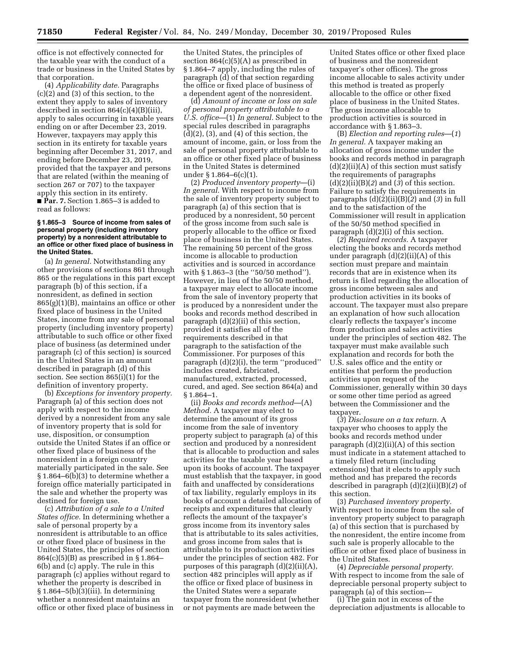office is not effectively connected for the taxable year with the conduct of a trade or business in the United States by that corporation.

(4) *Applicability date.* Paragraphs (c)(2) and (3) of this section, to the extent they apply to sales of inventory described in section 864(c)(4)(B)(iii), apply to sales occurring in taxable years ending on or after December 23, 2019. However, taxpayers may apply this section in its entirety for taxable years beginning after December 31, 2017, and ending before December 23, 2019, provided that the taxpayer and persons that are related (within the meaning of section 267 or 707) to the taxpayer apply this section in its entirety. ■ **Par. 7.** Section 1.865–3 is added to read as follows:

#### **§ 1.865–3 Source of income from sales of personal property (including inventory property) by a nonresident attributable to an office or other fixed place of business in the United States.**

(a) *In general.* Notwithstanding any other provisions of sections 861 through 865 or the regulations in this part except paragraph (b) of this section, if a nonresident, as defined in section  $865(g)(1)(B)$ , maintains an office or other fixed place of business in the United States, income from any sale of personal property (including inventory property) attributable to such office or other fixed place of business (as determined under paragraph (c) of this section) is sourced in the United States in an amount described in paragraph (d) of this section. See section 865(i)(1) for the definition of inventory property.

(b) *Exceptions for inventory property.*  Paragraph (a) of this section does not apply with respect to the income derived by a nonresident from any sale of inventory property that is sold for use, disposition, or consumption outside the United States if an office or other fixed place of business of the nonresident in a foreign country materially participated in the sale. See § 1.864–6(b)(3) to determine whether a foreign office materially participated in the sale and whether the property was destined for foreign use.

(c) *Attribution of a sale to a United States office.* In determining whether a sale of personal property by a nonresident is attributable to an office or other fixed place of business in the United States, the principles of section 864(c)(5)(B) as prescribed in § 1.864– 6(b) and (c) apply. The rule in this paragraph (c) applies without regard to whether the property is described in  $§ 1.864-5(b)(3)(iii)$ . In determining whether a nonresident maintains an office or other fixed place of business in the United States, the principles of section 864(c)(5)(A) as prescribed in § 1.864–7 apply, including the rules of paragraph (d) of that section regarding the office or fixed place of business of a dependent agent of the nonresident.

(d) *Amount of income or loss on sale of personal property attributable to a U.S. office*—(1) *In general.* Subject to the special rules described in paragraphs  $(d)(2)$ ,  $(3)$ , and  $(4)$  of this section, the amount of income, gain, or loss from the sale of personal property attributable to an office or other fixed place of business in the United States is determined under § 1.864–6(c)(1).

(2) *Produced inventory property*—(i) *In general.* With respect to income from the sale of inventory property subject to paragraph (a) of this section that is produced by a nonresident, 50 percent of the gross income from such sale is properly allocable to the office or fixed place of business in the United States. The remaining 50 percent of the gross income is allocable to production activities and is sourced in accordance with § 1.863–3 (the ''50/50 method''). However, in lieu of the 50/50 method, a taxpayer may elect to allocate income from the sale of inventory property that is produced by a nonresident under the books and records method described in paragraph (d)(2)(ii) of this section, provided it satisfies all of the requirements described in that paragraph to the satisfaction of the Commissioner. For purposes of this paragraph (d)(2)(i), the term ''produced'' includes created, fabricated, manufactured, extracted, processed, cured, and aged. See section 864(a) and § 1.864–1.

(ii) *Books and records method*—(A) *Method.* A taxpayer may elect to determine the amount of its gross income from the sale of inventory property subject to paragraph (a) of this section and produced by a nonresident that is allocable to production and sales activities for the taxable year based upon its books of account. The taxpayer must establish that the taxpayer, in good faith and unaffected by considerations of tax liability, regularly employs in its books of account a detailed allocation of receipts and expenditures that clearly reflects the amount of the taxpayer's gross income from its inventory sales that is attributable to its sales activities, and gross income from sales that is attributable to its production activities under the principles of section 482. For purposes of this paragraph (d)(2)(ii)(A), section 482 principles will apply as if the office or fixed place of business in the United States were a separate taxpayer from the nonresident (whether or not payments are made between the

United States office or other fixed place of business and the nonresident taxpayer's other offices). The gross income allocable to sales activity under this method is treated as properly allocable to the office or other fixed place of business in the United States. The gross income allocable to production activities is sourced in accordance with § 1.863–3.

(B) *Election and reporting rules*—(*1*) *In general.* A taxpayer making an allocation of gross income under the books and records method in paragraph  $(d)(2)(ii)(A)$  of this section must satisfy the requirements of paragraphs (d)(2)(ii)(B)(*2*) and (*3*) of this section. Failure to satisfy the requirements in paragraphs (d)(2)(ii)(B)(*2*) and (*3*) in full and to the satisfaction of the Commissioner will result in application of the 50/50 method specified in paragraph (d)(2)(i) of this section.

(*2*) *Required records.* A taxpayer electing the books and records method under paragraph (d)(2)(ii)(A) of this section must prepare and maintain records that are in existence when its return is filed regarding the allocation of gross income between sales and production activities in its books of account. The taxpayer must also prepare an explanation of how such allocation clearly reflects the taxpayer's income from production and sales activities under the principles of section 482. The taxpayer must make available such explanation and records for both the U.S. sales office and the entity or entities that perform the production activities upon request of the Commissioner, generally within 30 days or some other time period as agreed between the Commissioner and the taxpayer.

(*3*) *Disclosure on a tax return.* A taxpayer who chooses to apply the books and records method under paragraph  $(d)(2)(ii)(A)$  of this section must indicate in a statement attached to a timely filed return (including extensions) that it elects to apply such method and has prepared the records described in paragraph (d)(2)(ii)(B)(*2*) of this section.

(3) *Purchased inventory property.*  With respect to income from the sale of inventory property subject to paragraph (a) of this section that is purchased by the nonresident, the entire income from such sale is properly allocable to the office or other fixed place of business in the United States.

(4) *Depreciable personal property.*  With respect to income from the sale of depreciable personal property subject to paragraph (a) of this section—

(i) The gain not in excess of the depreciation adjustments is allocable to